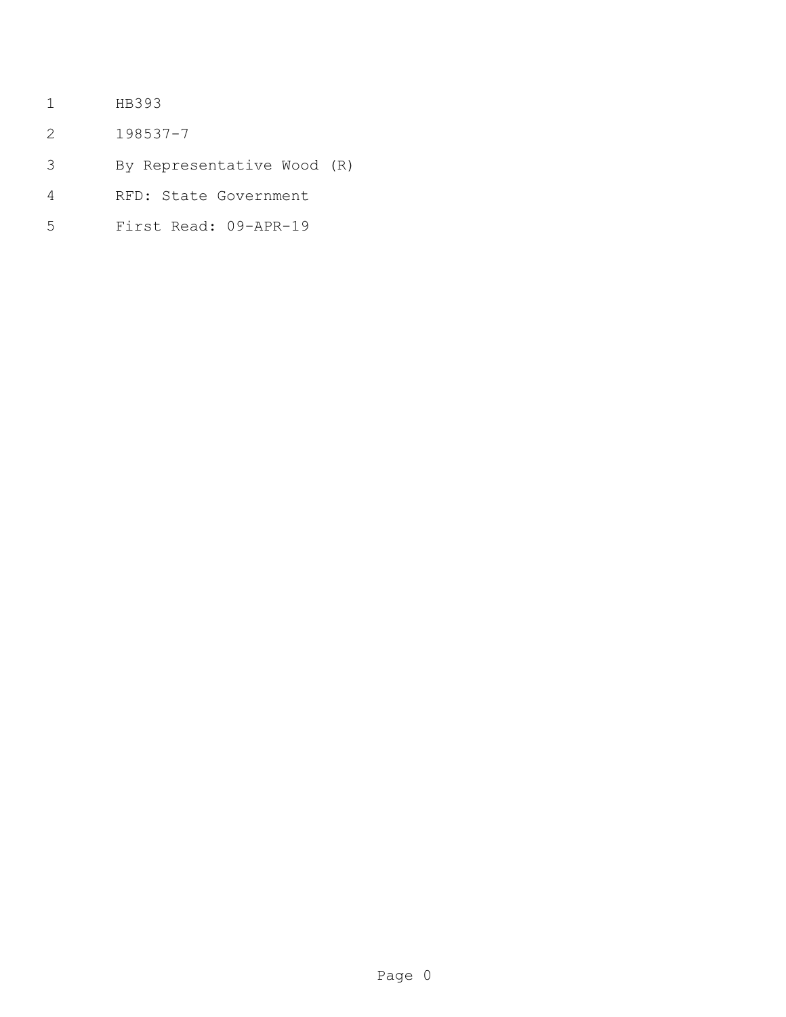- HB393
- 198537-7
- By Representative Wood (R)
- RFD: State Government
- First Read: 09-APR-19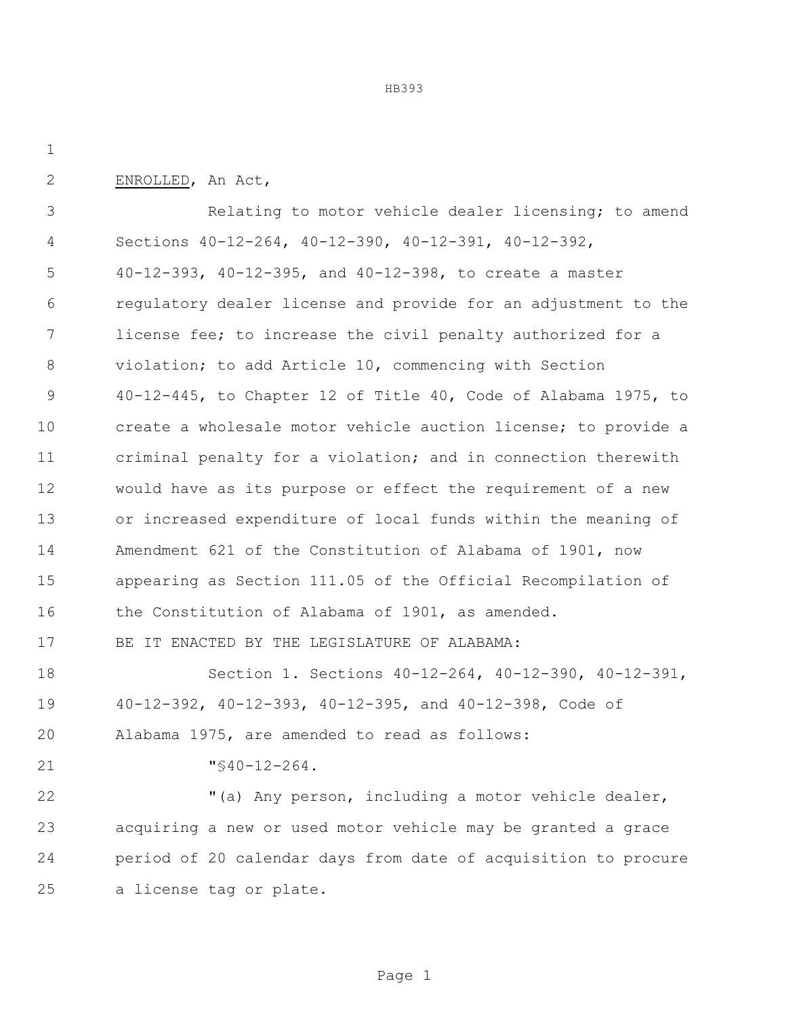ENROLLED, An Act,

 Relating to motor vehicle dealer licensing; to amend Sections 40-12-264, 40-12-390, 40-12-391, 40-12-392, 40-12-393, 40-12-395, and 40-12-398, to create a master regulatory dealer license and provide for an adjustment to the license fee; to increase the civil penalty authorized for a violation; to add Article 10, commencing with Section 40-12-445, to Chapter 12 of Title 40, Code of Alabama 1975, to create a wholesale motor vehicle auction license; to provide a criminal penalty for a violation; and in connection therewith would have as its purpose or effect the requirement of a new or increased expenditure of local funds within the meaning of Amendment 621 of the Constitution of Alabama of 1901, now appearing as Section 111.05 of the Official Recompilation of 16 the Constitution of Alabama of 1901, as amended. BE IT ENACTED BY THE LEGISLATURE OF ALABAMA: Section 1. Sections 40-12-264, 40-12-390, 40-12-391, 40-12-392, 40-12-393, 40-12-395, and 40-12-398, Code of Alabama 1975, are amended to read as follows: "§40-12-264.

 "(a) Any person, including a motor vehicle dealer, acquiring a new or used motor vehicle may be granted a grace period of 20 calendar days from date of acquisition to procure a license tag or plate.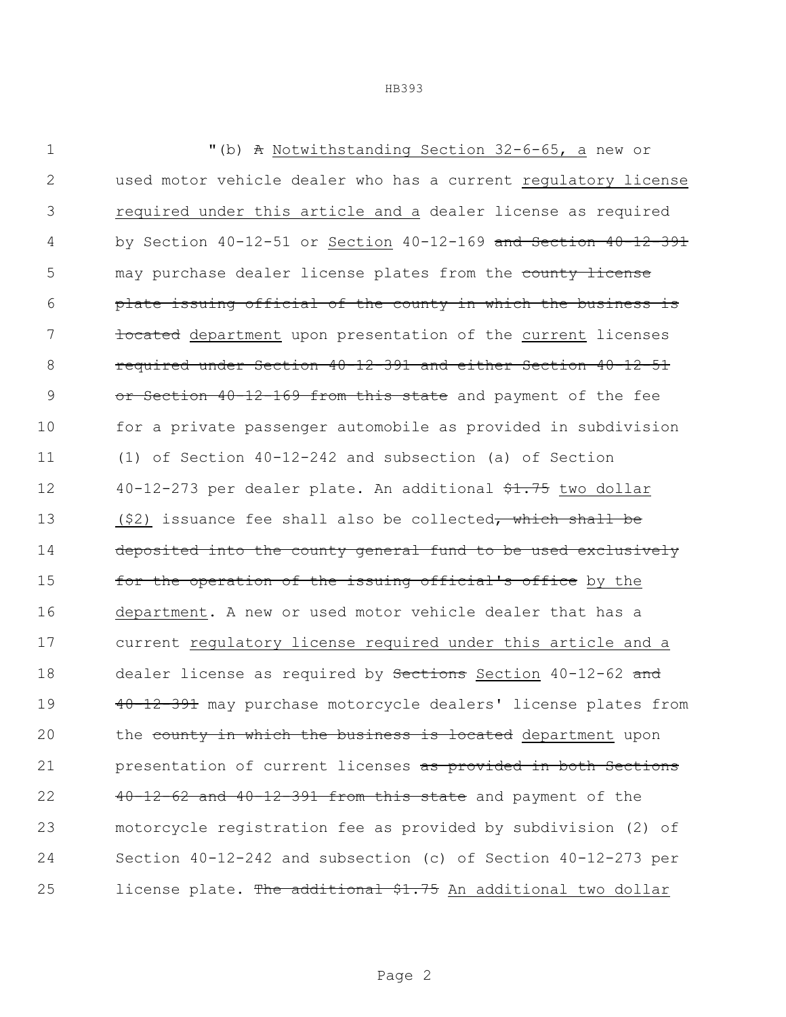| 1             | "(b) A Notwithstanding Section 32-6-65, a new or                        |
|---------------|-------------------------------------------------------------------------|
| $\mathbf{2}$  | used motor vehicle dealer who has a current regulatory license          |
| 3             | required under this article and a dealer license as required            |
| 4             | by Section $40-12-51$ or Section $40-12-169$ and Section $40-12-391$    |
| 5             | may purchase dealer license plates from the county license              |
| 6             | plate issuing official of the county in which the business is           |
| 7             | focated department upon presentation of the current licenses            |
| 8             | required under Section 40-12-391 and either Section 40-12-51            |
| $\mathcal{G}$ | or Section 40-12-169 from this state and payment of the fee             |
| 10            | for a private passenger automobile as provided in subdivision           |
| 11            | (1) of Section $40-12-242$ and subsection (a) of Section                |
| 12            | 40-12-273 per dealer plate. An additional \$1.75 two dollar             |
| 13            | $(52)$ issuance fee shall also be collected <del>, which shall be</del> |
| 14            | deposited into the county general fund to be used exclusively           |
| 15            | for the operation of the issuing official's office by the               |
| 16            | department. A new or used motor vehicle dealer that has a               |
| 17            | current regulatory license required under this article and a            |
| 18            | dealer license as required by Sections Section 40-12-62 and             |
| 19            | 40-12-391 may purchase motorcycle dealers' license plates from          |
| 20            | the county in which the business is located department upon             |
| 21            | presentation of current licenses as provided in both Sections           |
| 22            | $40-12-62$ and $40-12-391$ from this state and payment of the           |
| 23            | motorcycle registration fee as provided by subdivision (2) of           |
| 24            | Section $40-12-242$ and subsection (c) of Section $40-12-273$ per       |
| 25            | license plate. The additional \$1.75 An additional two dollar           |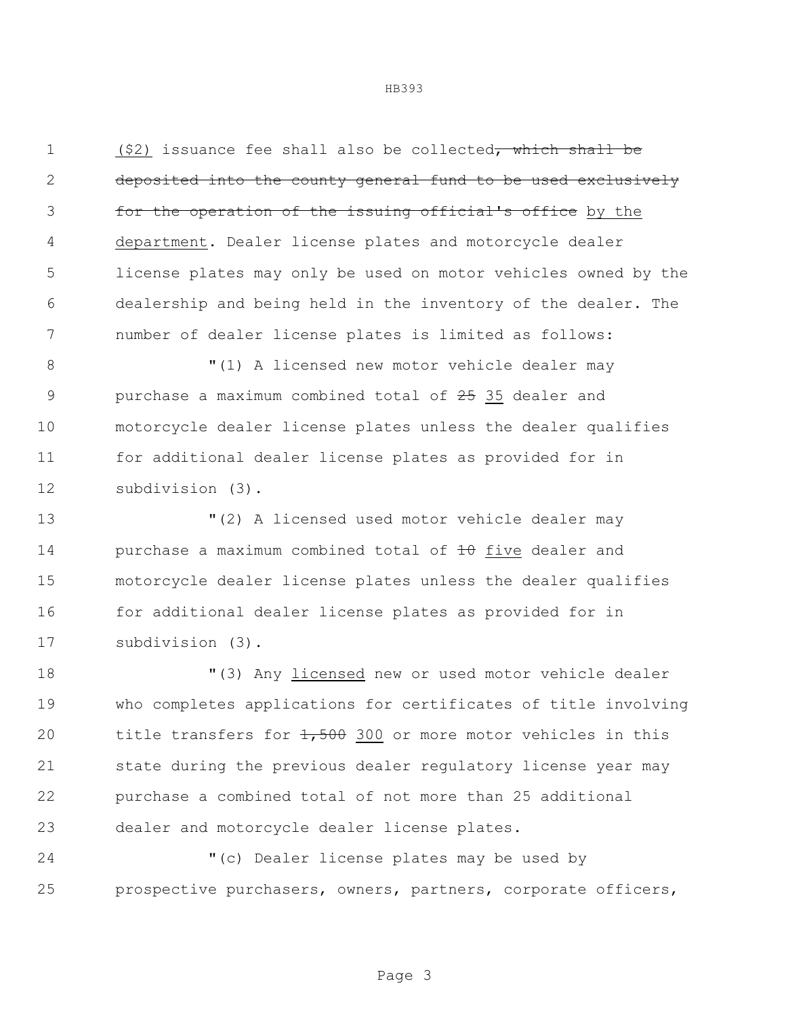1 (\$2) issuance fee shall also be collected, which shall be deposited into the county general fund to be used exclusively **for the operation of the issuing official's office** by the 4 department. Dealer license plates and motorcycle dealer license plates may only be used on motor vehicles owned by the dealership and being held in the inventory of the dealer. The number of dealer license plates is limited as follows:

 $\blacksquare(1)$  A licensed new motor vehicle dealer may 9 purchase a maximum combined total of 35 dealer and motorcycle dealer license plates unless the dealer qualifies for additional dealer license plates as provided for in subdivision (3).

 "(2) A licensed used motor vehicle dealer may 14 purchase a maximum combined total of  $\pm\theta$  five dealer and motorcycle dealer license plates unless the dealer qualifies 16 for additional dealer license plates as provided for in subdivision (3).

 "(3) Any licensed new or used motor vehicle dealer who completes applications for certificates of title involving 20 title transfers for  $1,500$  300 or more motor vehicles in this state during the previous dealer regulatory license year may purchase a combined total of not more than 25 additional dealer and motorcycle dealer license plates.

 "(c) Dealer license plates may be used by prospective purchasers, owners, partners, corporate officers,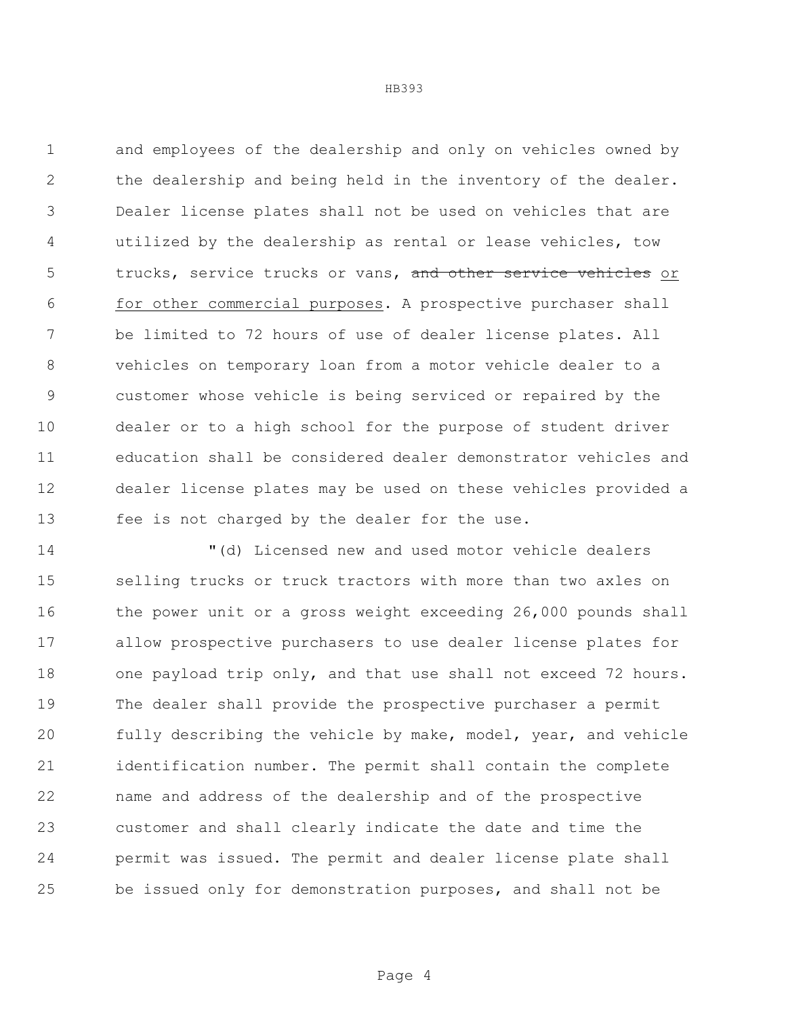and employees of the dealership and only on vehicles owned by the dealership and being held in the inventory of the dealer. Dealer license plates shall not be used on vehicles that are utilized by the dealership as rental or lease vehicles, tow 5 trucks, service trucks or vans, and other service vehicles or for other commercial purposes. A prospective purchaser shall be limited to 72 hours of use of dealer license plates. All vehicles on temporary loan from a motor vehicle dealer to a customer whose vehicle is being serviced or repaired by the dealer or to a high school for the purpose of student driver education shall be considered dealer demonstrator vehicles and dealer license plates may be used on these vehicles provided a fee is not charged by the dealer for the use.

 "(d) Licensed new and used motor vehicle dealers selling trucks or truck tractors with more than two axles on 16 the power unit or a gross weight exceeding 26,000 pounds shall allow prospective purchasers to use dealer license plates for one payload trip only, and that use shall not exceed 72 hours. The dealer shall provide the prospective purchaser a permit fully describing the vehicle by make, model, year, and vehicle identification number. The permit shall contain the complete name and address of the dealership and of the prospective customer and shall clearly indicate the date and time the permit was issued. The permit and dealer license plate shall be issued only for demonstration purposes, and shall not be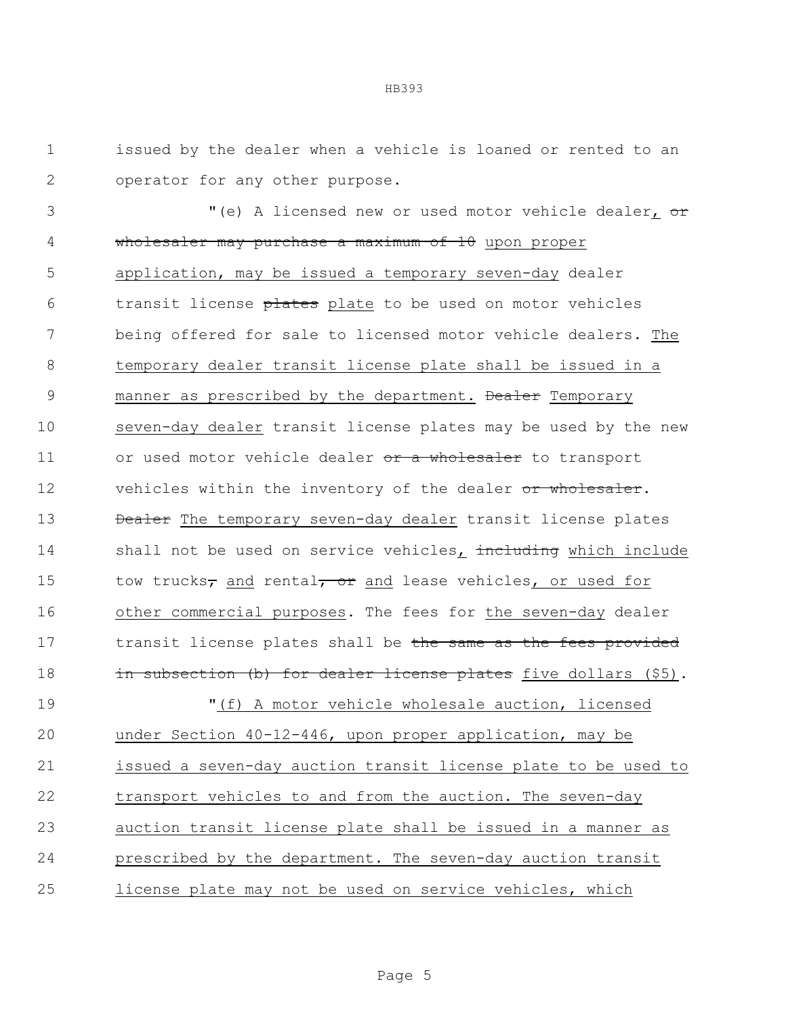1 issued by the dealer when a vehicle is loaned or rented to an 2 operator for any other purpose.

3 The Music of the Music or used motor vehicle dealer<sub>1</sub> or 4 wholesaler may purchase a maximum of 10 upon proper 5 application, may be issued a temporary seven-day dealer 6 transit license plates plate to be used on motor vehicles 7 being offered for sale to licensed motor vehicle dealers. The 8 temporary dealer transit license plate shall be issued in a 9 manner as prescribed by the department. Dealer Temporary 10 seven-day dealer transit license plates may be used by the new 11 or used motor vehicle dealer or a wholesaler to transport 12 vehicles within the inventory of the dealer or wholesaler. 13 **Dealer** The temporary seven-day dealer transit license plates 14 shall not be used on service vehicles, including which include 15 tow trucks<sub>7</sub> and rental<sub>7</sub> or and lease vehicles, or used for 16 other commercial purposes. The fees for the seven-day dealer 17 transit license plates shall be the same as the fees provided 18 in subsection (b) for dealer license plates five dollars (\$5).

 "(f) A motor vehicle wholesale auction, licensed under Section 40-12-446, upon proper application, may be issued a seven-day auction transit license plate to be used to transport vehicles to and from the auction. The seven-day auction transit license plate shall be issued in a manner as prescribed by the department. The seven-day auction transit license plate may not be used on service vehicles, which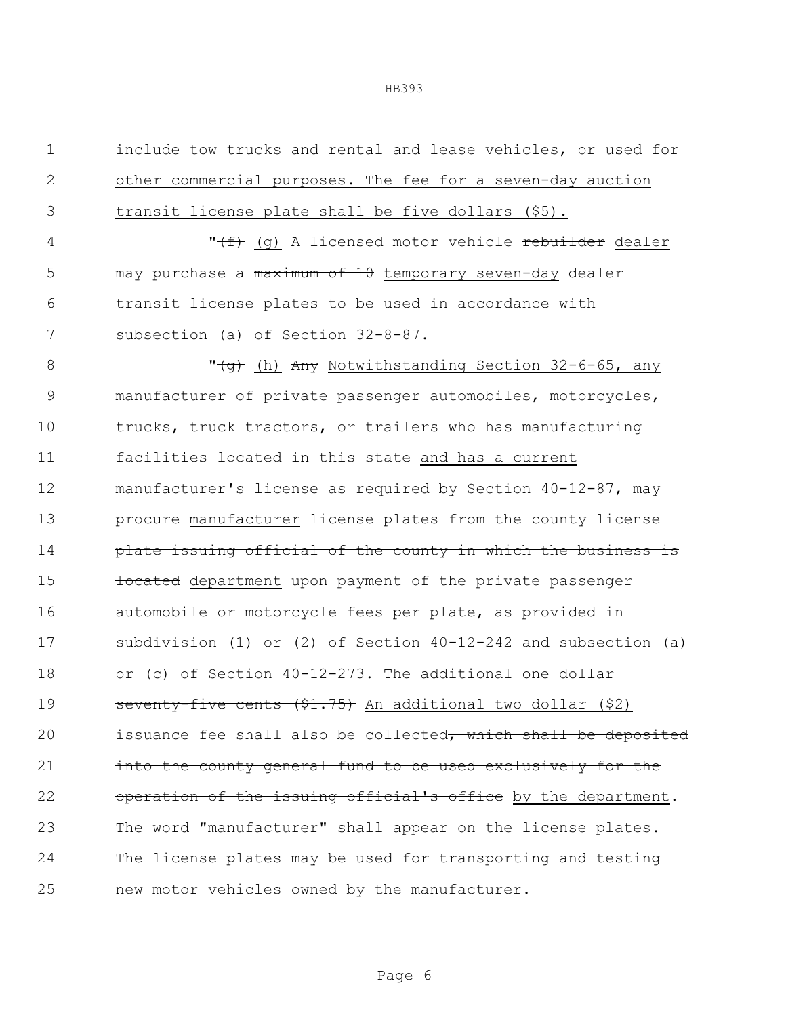include tow trucks and rental and lease vehicles, or used for other commercial purposes. The fee for a seven-day auction transit license plate shall be five dollars (\$5). 4 "<del>(f)</del> (g) A licensed motor vehicle rebuilder dealer 5 may purchase a maximum of 10 temporary seven-day dealer transit license plates to be used in accordance with subsection (a) of Section 32-8-87. 8 "<del>(g)</del> (h) Any Notwithstanding Section 32-6-65, any manufacturer of private passenger automobiles, motorcycles, trucks, truck tractors, or trailers who has manufacturing facilities located in this state and has a current manufacturer's license as required by Section 40-12-87, may 13 procure manufacturer license plates from the county license **plate issuing official of the county in which the business is located** department upon payment of the private passenger 16 automobile or motorcycle fees per plate, as provided in subdivision (1) or (2) of Section 40-12-242 and subsection (a) 18 or (c) of Section 40-12-273. The additional one dollar 19 seventy-five cents (\$1.75) An additional two dollar (\$2) 20 issuance fee shall also be collected, which shall be deposited **into the county general fund to be used exclusively for the** 22 operation of the issuing official's office by the department. The word "manufacturer" shall appear on the license plates. The license plates may be used for transporting and testing new motor vehicles owned by the manufacturer.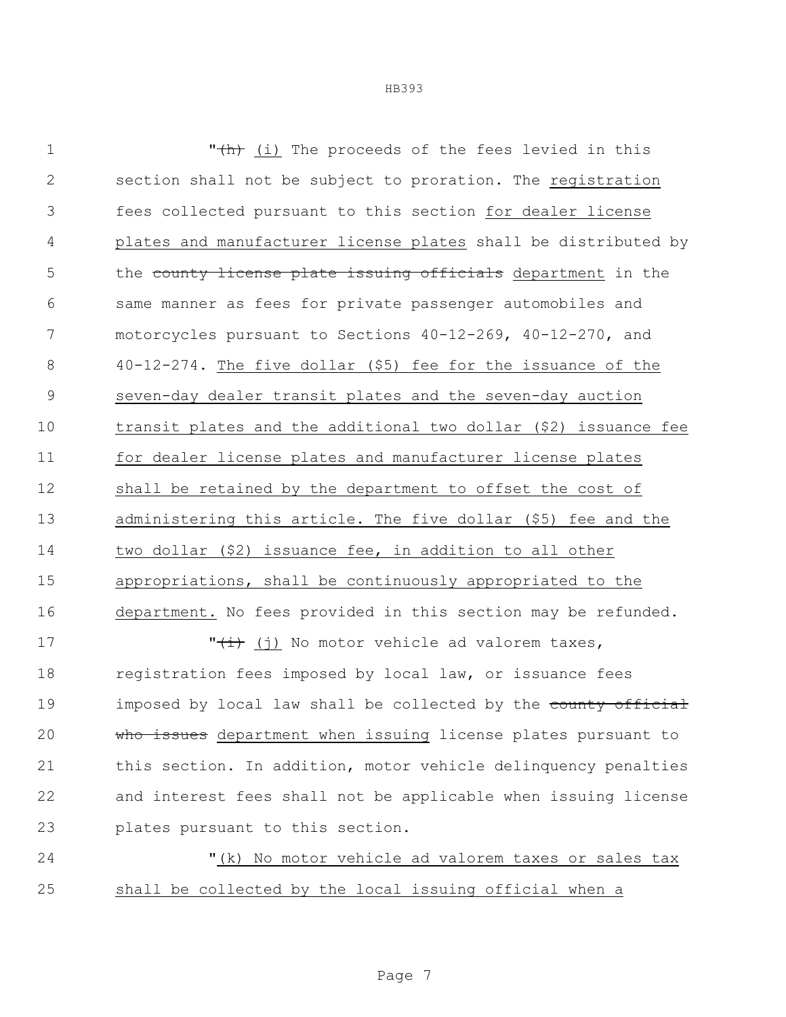| $\mathbf 1$ | "(h) (i) The proceeds of the fees levied in this                |
|-------------|-----------------------------------------------------------------|
| 2           | section shall not be subject to proration. The registration     |
| 3           | fees collected pursuant to this section for dealer license      |
| 4           | plates and manufacturer license plates shall be distributed by  |
| 5           | the county license plate issuing officials department in the    |
| 6           | same manner as fees for private passenger automobiles and       |
| 7           | motorcycles pursuant to Sections 40-12-269, 40-12-270, and      |
| $8\,$       | $40-12-274$ . The five dollar (\$5) fee for the issuance of the |
| 9           | seven-day dealer transit plates and the seven-day auction       |
| 10          | transit plates and the additional two dollar (\$2) issuance fee |
| 11          | for dealer license plates and manufacturer license plates       |
| 12          | shall be retained by the department to offset the cost of       |
| 13          | administering this article. The five dollar (\$5) fee and the   |
| 14          | two dollar (\$2) issuance fee, in addition to all other         |
| 15          | appropriations, shall be continuously appropriated to the       |
| 16          | department. No fees provided in this section may be refunded.   |
| 17          | " $\frac{1}{t}$ (j) No motor vehicle ad valorem taxes,          |
| 18          | registration fees imposed by local law, or issuance fees        |
| 19          | imposed by local law shall be collected by the county official  |
| 20          | who issues department when issuing license plates pursuant to   |
| 21          | this section. In addition, motor vehicle delinquency penalties  |

 and interest fees shall not be applicable when issuing license plates pursuant to this section.

24 "(k) No motor vehicle ad valorem taxes or sales tax shall be collected by the local issuing official when a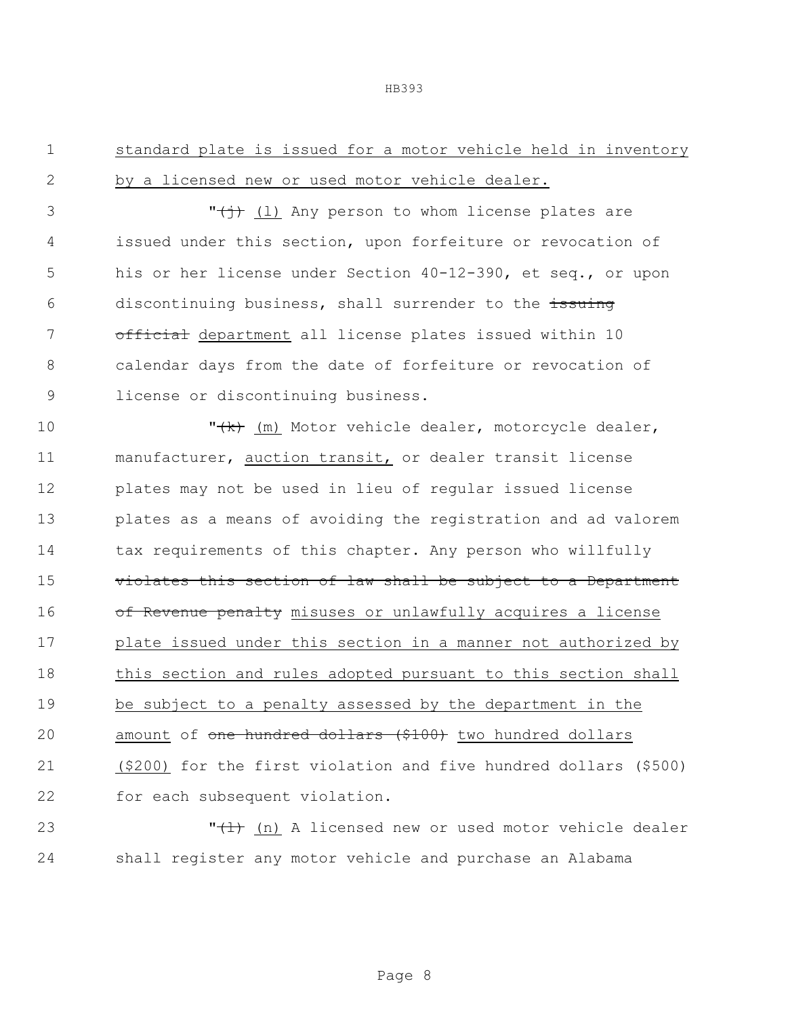| standard plate is issued for a motor vehicle held in inventory |  |  |  |  |  |
|----------------------------------------------------------------|--|--|--|--|--|
| 2 by a licensed new or used motor vehicle dealer.              |  |  |  |  |  |

 $\mathbf{y}$   $\mathbf{y}$  (1) Any person to whom license plates are 4 issued under this section, upon forfeiture or revocation of 5 his or her license under Section 40-12-390, et seq., or upon 6 discontinuing business, shall surrender to the issuing 7 official department all license plates issued within 10 8 calendar days from the date of forfeiture or revocation of 9 license or discontinuing business.

 $\mathsf{''(k)}$  (m) Motor vehicle dealer, motorcycle dealer, manufacturer, auction transit, or dealer transit license plates may not be used in lieu of regular issued license plates as a means of avoiding the registration and ad valorem tax requirements of this chapter. Any person who willfully 15 violates this section of law shall be subject to a Department 16 of Revenue penalty misuses or unlawfully acquires a license plate issued under this section in a manner not authorized by 18 this section and rules adopted pursuant to this section shall be subject to a penalty assessed by the department in the 20 amount of one hundred dollars (\$100) two hundred dollars (\$200) for the first violation and five hundred dollars (\$500) for each subsequent violation.

23 TH<sub>(1)</sub> (n) A licensed new or used motor vehicle dealer 24 shall register any motor vehicle and purchase an Alabama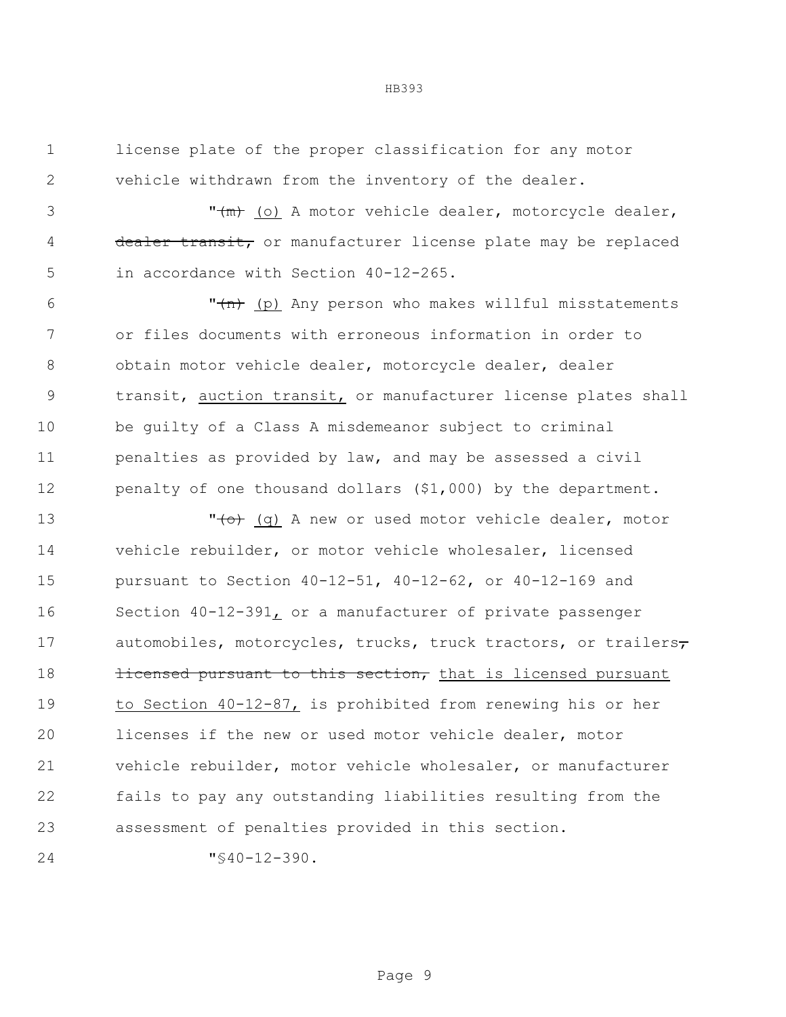license plate of the proper classification for any motor vehicle withdrawn from the inventory of the dealer.

3 T<del>(m)</del> (o) A motor vehicle dealer, motorcycle dealer, 4 dealer transit, or manufacturer license plate may be replaced in accordance with Section 40-12-265.

 $\mathsf{m}_{\text{min}}$  (p) Any person who makes willful misstatements or files documents with erroneous information in order to 8 obtain motor vehicle dealer, motorcycle dealer, dealer transit, auction transit, or manufacturer license plates shall be guilty of a Class A misdemeanor subject to criminal penalties as provided by law, and may be assessed a civil penalty of one thousand dollars (\$1,000) by the department.

13 The Moving of the Morris of the Morris vehicle dealer, motor vehicle rebuilder, or motor vehicle wholesaler, licensed pursuant to Section 40-12-51, 40-12-62, or 40-12-169 and Section 40-12-391, or a manufacturer of private passenger 17 automobiles, motorcycles, trucks, truck tractors, or trailers **licensed pursuant to this section,** that is licensed pursuant to Section 40-12-87, is prohibited from renewing his or her licenses if the new or used motor vehicle dealer, motor vehicle rebuilder, motor vehicle wholesaler, or manufacturer fails to pay any outstanding liabilities resulting from the assessment of penalties provided in this section.

"§40-12-390.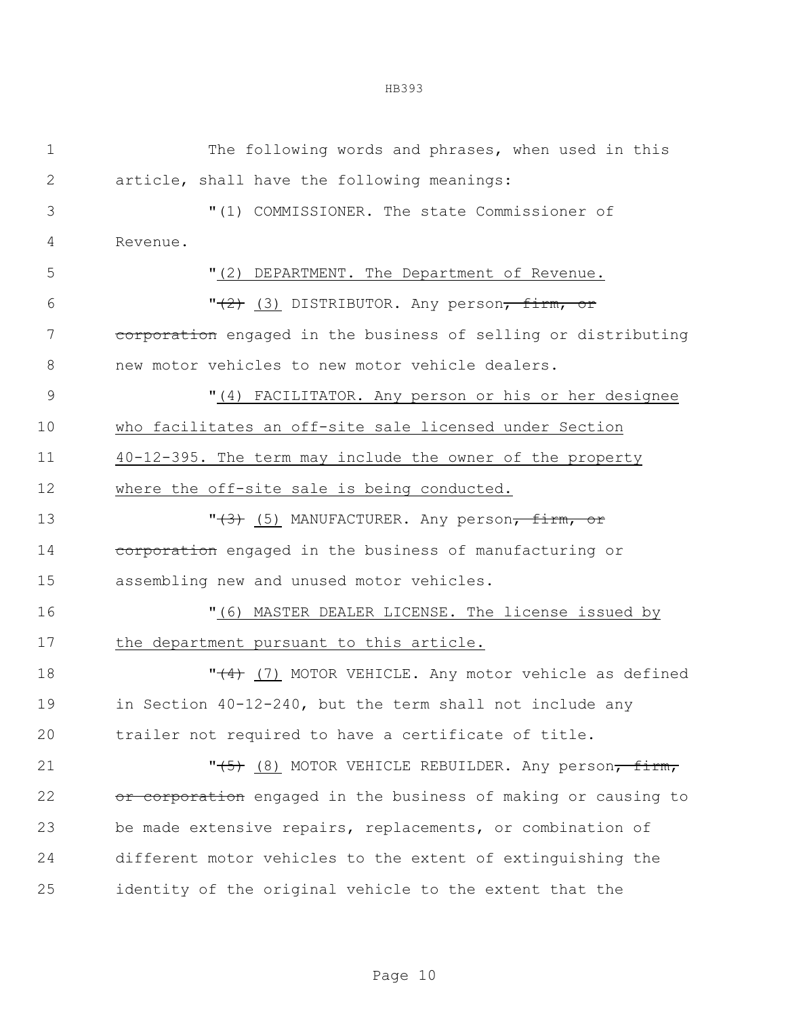| $\mathbf 1$  | The following words and phrases, when used in this              |
|--------------|-----------------------------------------------------------------|
| $\mathbf{2}$ | article, shall have the following meanings:                     |
| 3            | "(1) COMMISSIONER. The state Commissioner of                    |
| 4            | Revenue.                                                        |
| 5            | "(2) DEPARTMENT. The Department of Revenue.                     |
| 6            | $"$ (3) DISTRIBUTOR. Any person <del>, firm, or</del>           |
| 7            | corporation engaged in the business of selling or distributing  |
| 8            | new motor vehicles to new motor vehicle dealers.                |
| $\mathsf 9$  | "(4) FACILITATOR. Any person or his or her designee             |
| 10           | who facilitates an off-site sale licensed under Section         |
| 11           | 40-12-395. The term may include the owner of the property       |
| 12           | where the off-site sale is being conducted.                     |
| 13           | $"(\theta)$ (5) MANUFACTURER. Any person, firm, or              |
| 14           | corporation engaged in the business of manufacturing or         |
| 15           | assembling new and unused motor vehicles.                       |
| 16           | "(6) MASTER DEALER LICENSE. The license issued by               |
| 17           | the department pursuant to this article.                        |
| 18           | " $(4)$ (7) MOTOR VEHICLE. Any motor vehicle as defined         |
| 19           | in Section 40-12-240, but the term shall not include any        |
| 20           | trailer not required to have a certificate of title.            |
| 21           | "(5) (8) MOTOR VEHICLE REBUILDER. Any person <del>, firm,</del> |
| 22           | or corporation engaged in the business of making or causing to  |
| 23           | be made extensive repairs, replacements, or combination of      |
| 24           | different motor vehicles to the extent of extinguishing the     |
| 25           | identity of the original vehicle to the extent that the         |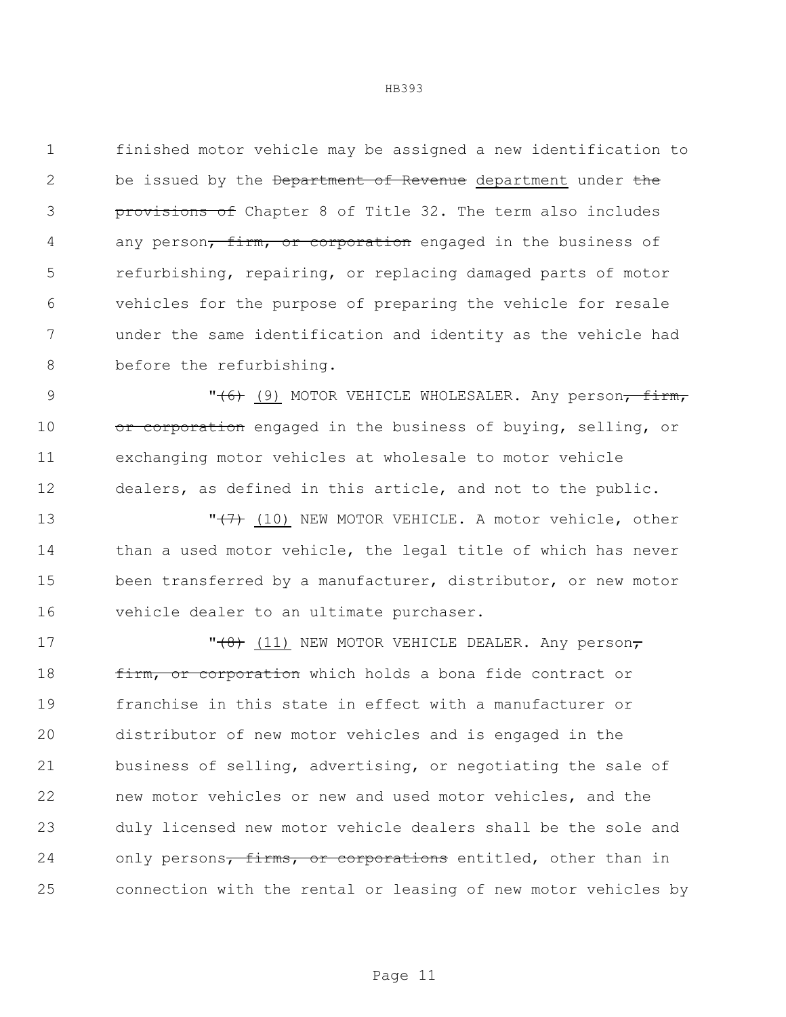finished motor vehicle may be assigned a new identification to 2 be issued by the Department of Revenue department under the **provisions of** Chapter 8 of Title 32. The term also includes 4 any person, firm, or corporation engaged in the business of refurbishing, repairing, or replacing damaged parts of motor vehicles for the purpose of preparing the vehicle for resale under the same identification and identity as the vehicle had 8 before the refurbishing.

9 TH (6) MOTOR VEHICLE WHOLESALER. Any person<del>, firm,</del> 10 or corporation engaged in the business of buying, selling, or exchanging motor vehicles at wholesale to motor vehicle dealers, as defined in this article, and not to the public.

**T<del>(7)</del>** (10) NEW MOTOR VEHICLE. A motor vehicle, other than a used motor vehicle, the legal title of which has never been transferred by a manufacturer, distributor, or new motor vehicle dealer to an ultimate purchaser.

 $\sqrt{(8)}$  (11) NEW MOTOR VEHICLE DEALER. Any person, **firm, or corporation** which holds a bona fide contract or franchise in this state in effect with a manufacturer or distributor of new motor vehicles and is engaged in the business of selling, advertising, or negotiating the sale of new motor vehicles or new and used motor vehicles, and the duly licensed new motor vehicle dealers shall be the sole and 24 only persons<del>, firms, or corporations</del> entitled, other than in connection with the rental or leasing of new motor vehicles by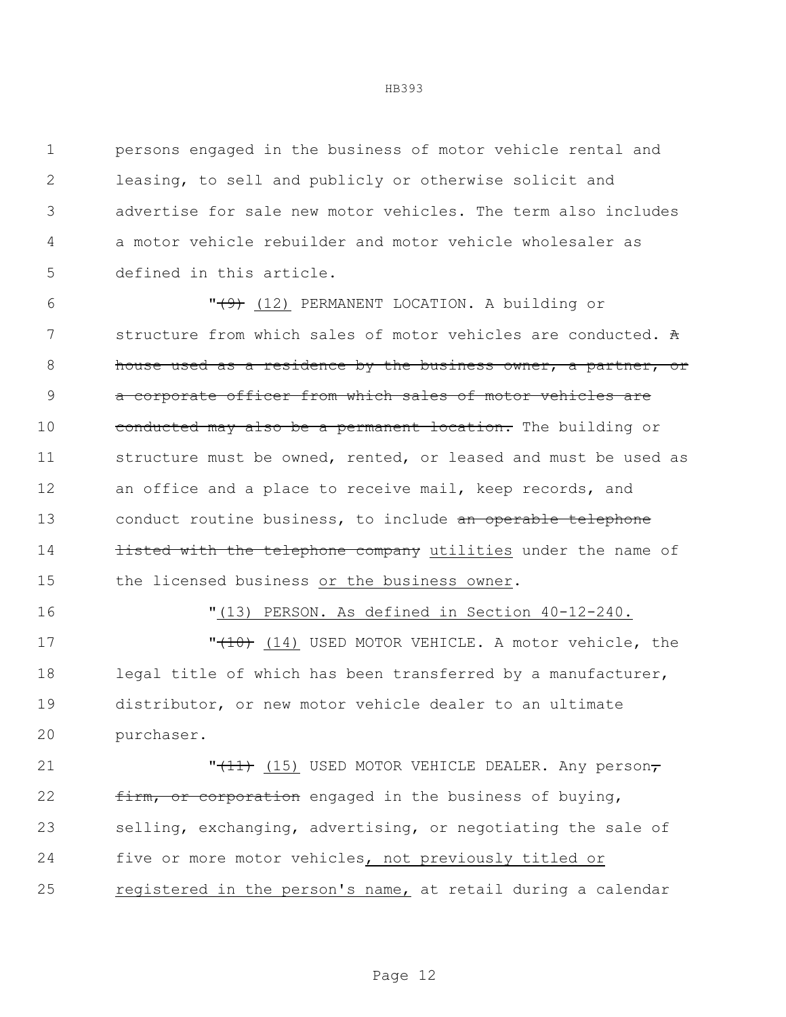persons engaged in the business of motor vehicle rental and leasing, to sell and publicly or otherwise solicit and advertise for sale new motor vehicles. The term also includes a motor vehicle rebuilder and motor vehicle wholesaler as defined in this article.

 $\sqrt{9}$  (12) PERMANENT LOCATION. A building or structure from which sales of motor vehicles are conducted. A house used as a residence by the business owner, a partner, or a corporate officer from which sales of motor vehicles are 10 conducted may also be a permanent location. The building or structure must be owned, rented, or leased and must be used as an office and a place to receive mail, keep records, and 13 conduct routine business, to include an operable telephone **listed with the telephone company** utilities under the name of the licensed business or the business owner.

"(13) PERSON. As defined in Section 40-12-240.

17 TH (10) USED MOTOR VEHICLE. A motor vehicle, the legal title of which has been transferred by a manufacturer, distributor, or new motor vehicle dealer to an ultimate purchaser.

21 **"<del>(11)</del>** (15) USED MOTOR VEHICLE DEALER. Any person<del>,</del> 22 firm, or corporation engaged in the business of buying, selling, exchanging, advertising, or negotiating the sale of five or more motor vehicles, not previously titled or 25 registered in the person's name, at retail during a calendar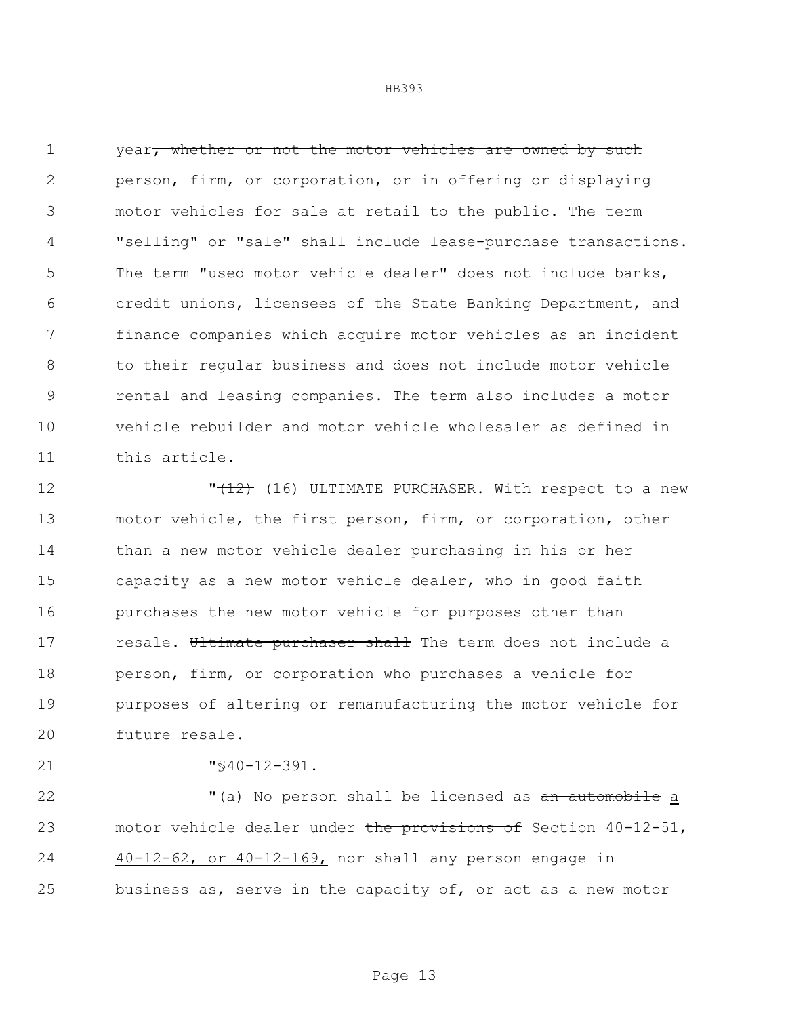1 year, whether or not the motor vehicles are owned by such **person, firm, or corporation,** or in offering or displaying motor vehicles for sale at retail to the public. The term "selling" or "sale" shall include lease-purchase transactions. The term "used motor vehicle dealer" does not include banks, credit unions, licensees of the State Banking Department, and finance companies which acquire motor vehicles as an incident to their regular business and does not include motor vehicle rental and leasing companies. The term also includes a motor vehicle rebuilder and motor vehicle wholesaler as defined in this article.

**"<del>(12)</del>** (16) ULTIMATE PURCHASER. With respect to a new 13 motor vehicle, the first person<del>, firm, or corporation,</del> other than a new motor vehicle dealer purchasing in his or her capacity as a new motor vehicle dealer, who in good faith purchases the new motor vehicle for purposes other than 17 resale. Ultimate purchaser shall The term does not include a 18 person<del>, firm, or corporation</del> who purchases a vehicle for purposes of altering or remanufacturing the motor vehicle for future resale.

"§40-12-391.

22 The Music of the person shall be licensed as an automobile a 23 motor vehicle dealer under the provisions of Section 40-12-51, 40-12-62, or 40-12-169, nor shall any person engage in business as, serve in the capacity of, or act as a new motor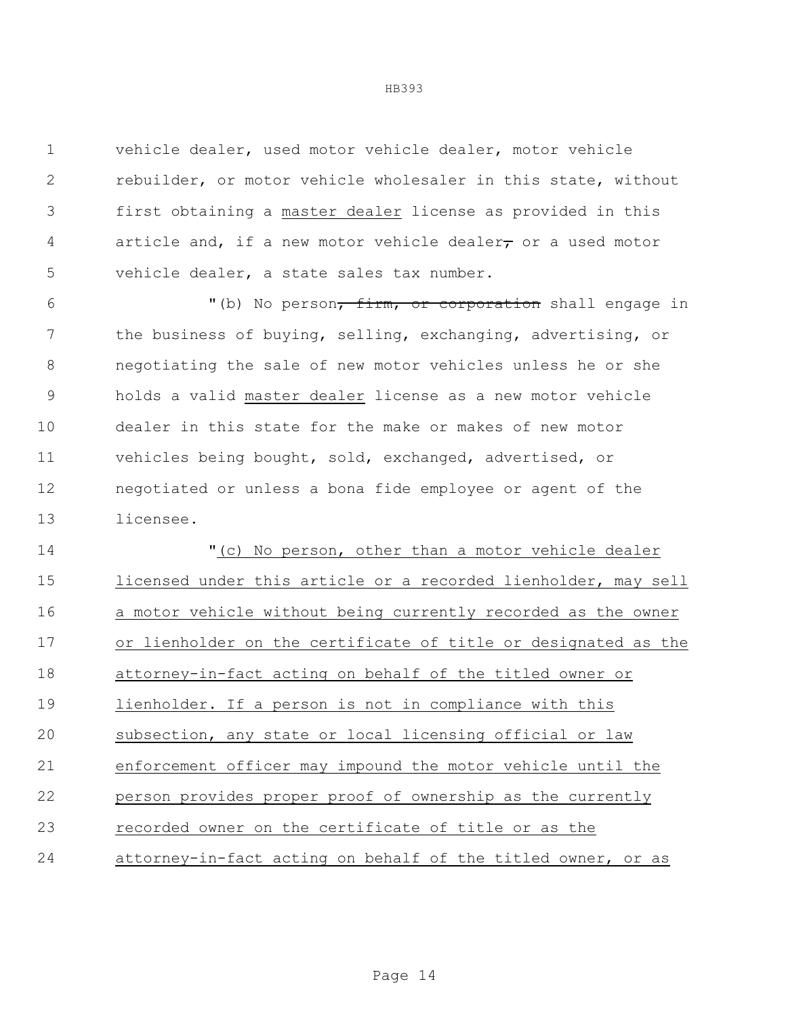vehicle dealer, used motor vehicle dealer, motor vehicle rebuilder, or motor vehicle wholesaler in this state, without first obtaining a master dealer license as provided in this 4 article and, if a new motor vehicle dealer, or a used motor vehicle dealer, a state sales tax number.

6 "(b) No person, firm, or corporation shall engage in the business of buying, selling, exchanging, advertising, or negotiating the sale of new motor vehicles unless he or she holds a valid master dealer license as a new motor vehicle dealer in this state for the make or makes of new motor vehicles being bought, sold, exchanged, advertised, or negotiated or unless a bona fide employee or agent of the licensee.

 "(c) No person, other than a motor vehicle dealer licensed under this article or a recorded lienholder, may sell a motor vehicle without being currently recorded as the owner or lienholder on the certificate of title or designated as the attorney-in-fact acting on behalf of the titled owner or lienholder. If a person is not in compliance with this subsection, any state or local licensing official or law enforcement officer may impound the motor vehicle until the person provides proper proof of ownership as the currently recorded owner on the certificate of title or as the attorney-in-fact acting on behalf of the titled owner, or as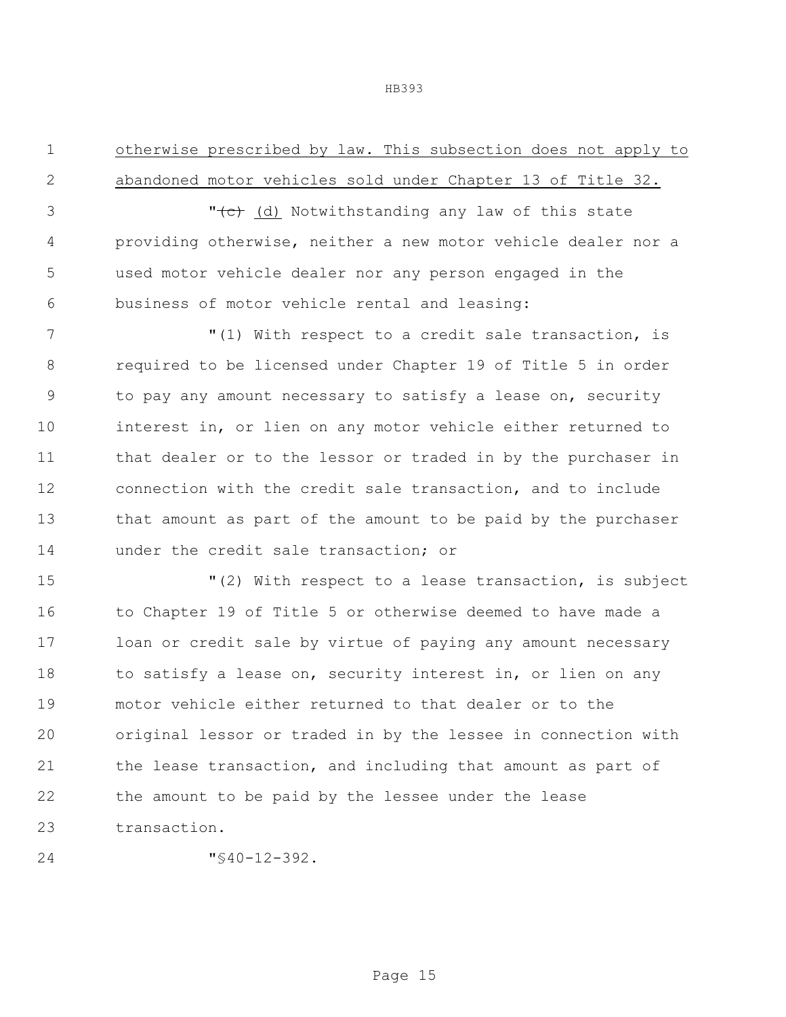otherwise prescribed by law. This subsection does not apply to abandoned motor vehicles sold under Chapter 13 of Title 32.

3 The Collect Constants (d) Notwithstanding any law of this state providing otherwise, neither a new motor vehicle dealer nor a used motor vehicle dealer nor any person engaged in the business of motor vehicle rental and leasing:

 $(1)$  With respect to a credit sale transaction, is required to be licensed under Chapter 19 of Title 5 in order to pay any amount necessary to satisfy a lease on, security interest in, or lien on any motor vehicle either returned to 11 that dealer or to the lessor or traded in by the purchaser in connection with the credit sale transaction, and to include that amount as part of the amount to be paid by the purchaser under the credit sale transaction; or

 "(2) With respect to a lease transaction, is subject to Chapter 19 of Title 5 or otherwise deemed to have made a loan or credit sale by virtue of paying any amount necessary 18 to satisfy a lease on, security interest in, or lien on any motor vehicle either returned to that dealer or to the original lessor or traded in by the lessee in connection with the lease transaction, and including that amount as part of the amount to be paid by the lessee under the lease transaction.

 $\sqrt{840-12-392}$ .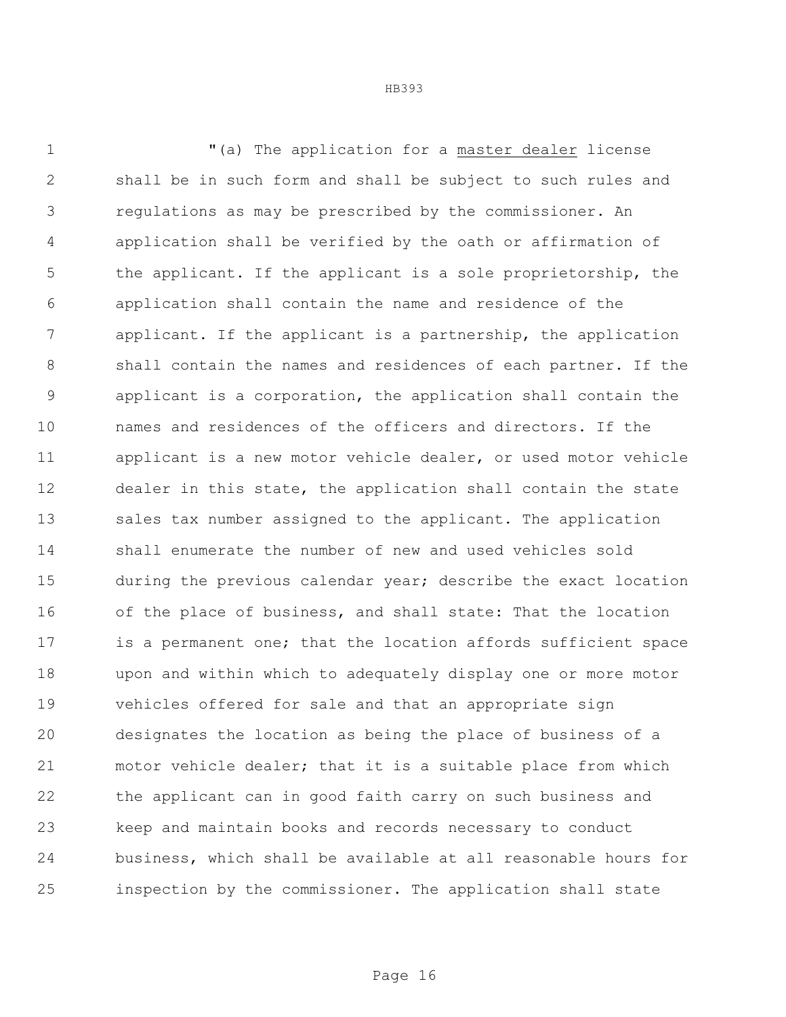"(a) The application for a master dealer license shall be in such form and shall be subject to such rules and regulations as may be prescribed by the commissioner. An application shall be verified by the oath or affirmation of the applicant. If the applicant is a sole proprietorship, the application shall contain the name and residence of the applicant. If the applicant is a partnership, the application shall contain the names and residences of each partner. If the applicant is a corporation, the application shall contain the names and residences of the officers and directors. If the applicant is a new motor vehicle dealer, or used motor vehicle dealer in this state, the application shall contain the state 13 sales tax number assigned to the applicant. The application shall enumerate the number of new and used vehicles sold during the previous calendar year; describe the exact location of the place of business, and shall state: That the location is a permanent one; that the location affords sufficient space upon and within which to adequately display one or more motor vehicles offered for sale and that an appropriate sign designates the location as being the place of business of a motor vehicle dealer; that it is a suitable place from which the applicant can in good faith carry on such business and keep and maintain books and records necessary to conduct business, which shall be available at all reasonable hours for inspection by the commissioner. The application shall state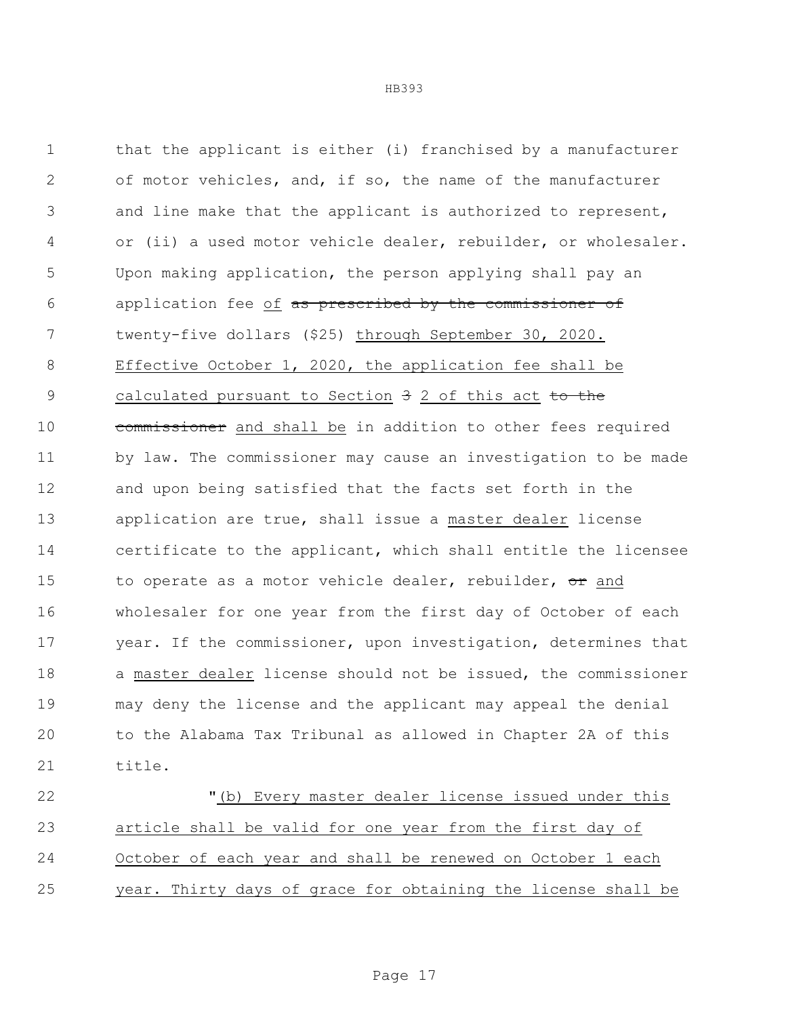that the applicant is either (i) franchised by a manufacturer of motor vehicles, and, if so, the name of the manufacturer and line make that the applicant is authorized to represent, or (ii) a used motor vehicle dealer, rebuilder, or wholesaler. Upon making application, the person applying shall pay an 6 application fee of as prescribed by the commissioner of twenty-five dollars (\$25) through September 30, 2020. Effective October 1, 2020, the application fee shall be 9 calculated pursuant to Section 3 2 of this act to the 10 commissioner and shall be in addition to other fees required by law. The commissioner may cause an investigation to be made and upon being satisfied that the facts set forth in the application are true, shall issue a master dealer license certificate to the applicant, which shall entitle the licensee 15 to operate as a motor vehicle dealer, rebuilder,  $\sigma$ r and wholesaler for one year from the first day of October of each year. If the commissioner, upon investigation, determines that a master dealer license should not be issued, the commissioner may deny the license and the applicant may appeal the denial to the Alabama Tax Tribunal as allowed in Chapter 2A of this title.

 "(b) Every master dealer license issued under this article shall be valid for one year from the first day of October of each year and shall be renewed on October 1 each year. Thirty days of grace for obtaining the license shall be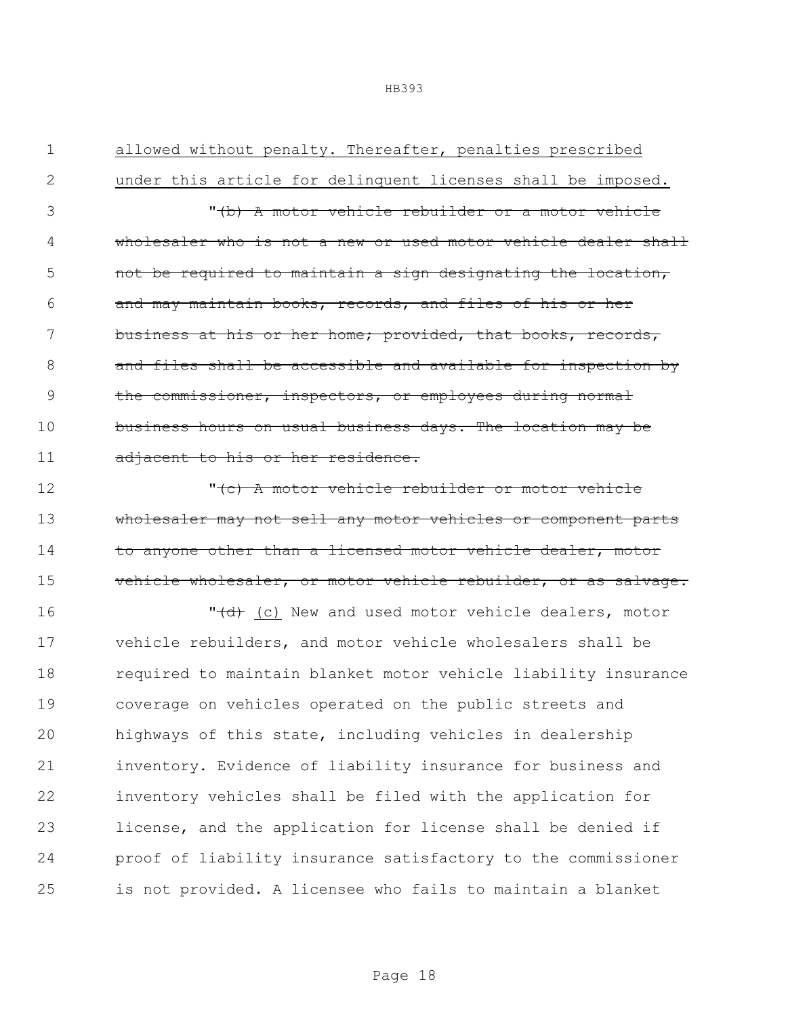1 allowed without penalty. Thereafter, penalties prescribed 2 under this article for delinquent licenses shall be imposed. 3 "(b) A motor vehicle rebuilder or a motor vehicle 4 wholesaler who is not a new or used motor vehicle dealer shall 5 and the required to maintain a sign designating the location, 6 and may maintain books, records, and files of his or her 7 business at his or her home; provided, that books, records, 8 and files shall be accessible and available for inspection by 9 the commissioner, inspectors, or employees during normal 10 business hours on usual business days. The location may be 11 adjacent to his or her residence. 12 The Motor vehicle rebuilder or motor vehicle 13 wholesaler may not sell any motor vehicles or component parts

14 to anyone other than a licensed motor vehicle dealer, motor 15 vehicle wholesaler, or motor vehicle rebuilder, or as salvage.

16 "  $\left( \frac{d}{dt} \right)$  (c) New and used motor vehicle dealers, motor vehicle rebuilders, and motor vehicle wholesalers shall be required to maintain blanket motor vehicle liability insurance coverage on vehicles operated on the public streets and highways of this state, including vehicles in dealership inventory. Evidence of liability insurance for business and inventory vehicles shall be filed with the application for license, and the application for license shall be denied if proof of liability insurance satisfactory to the commissioner is not provided. A licensee who fails to maintain a blanket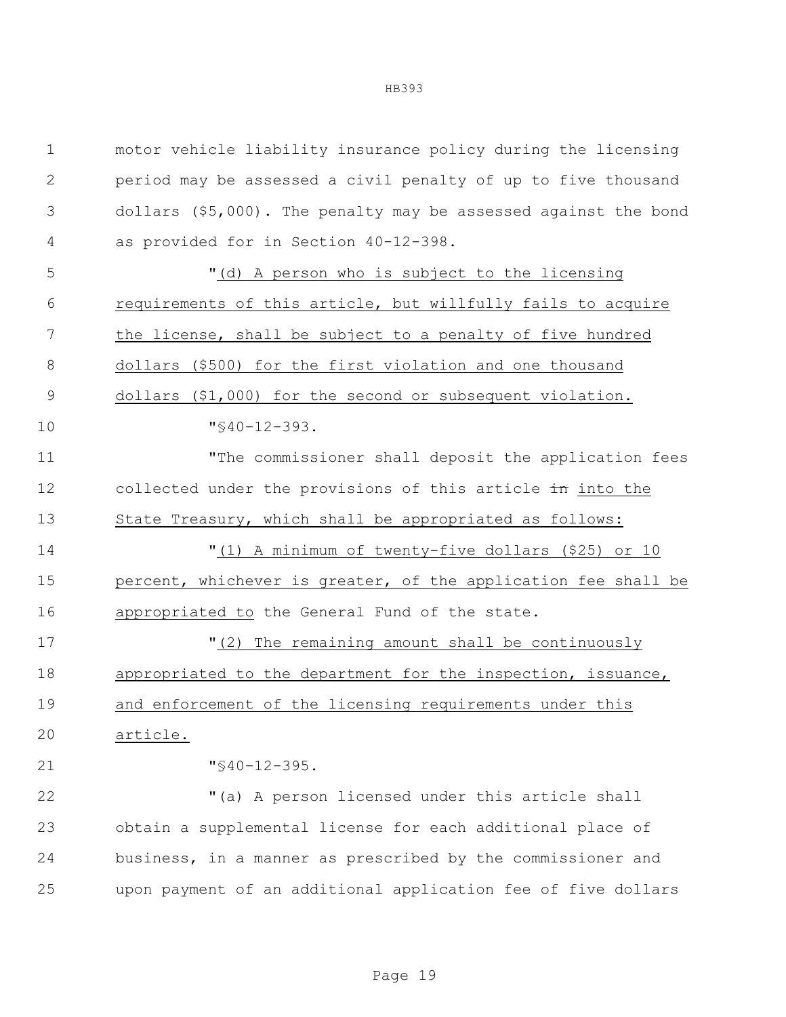| $\mathbf 1$   | motor vehicle liability insurance policy during the licensing     |
|---------------|-------------------------------------------------------------------|
| $\mathbf{2}$  | period may be assessed a civil penalty of up to five thousand     |
| 3             | dollars $(55,000)$ . The penalty may be assessed against the bond |
| 4             | as provided for in Section 40-12-398.                             |
| 5             | "(d) A person who is subject to the licensing                     |
| 6             | requirements of this article, but willfully fails to acquire      |
| 7             | the license, shall be subject to a penalty of five hundred        |
| 8             | dollars (\$500) for the first violation and one thousand          |
| $\mathcal{G}$ | dollars $($1,000)$ for the second or subsequent violation.        |
| 10            | $"$ \$40-12-393.                                                  |
| 11            | "The commissioner shall deposit the application fees              |
| 12            | collected under the provisions of this article in into the        |
| 13            | State Treasury, which shall be appropriated as follows:           |
| 14            | "(1) A minimum of twenty-five dollars (\$25) or 10                |
| 15            | percent, whichever is greater, of the application fee shall be    |
| 16            | appropriated to the General Fund of the state.                    |
| 17            | "(2) The remaining amount shall be continuously                   |
| 18            | appropriated to the department for the inspection, issuance,      |
| 19            | and enforcement of the licensing requirements under this          |
| 20            | article.                                                          |
| 21            | $"$ \$40-12-395.                                                  |
| 22            | "(a) A person licensed under this article shall                   |
| 23            | obtain a supplemental license for each additional place of        |
| 24            | business, in a manner as prescribed by the commissioner and       |
| 25            | upon payment of an additional application fee of five dollars     |
|               |                                                                   |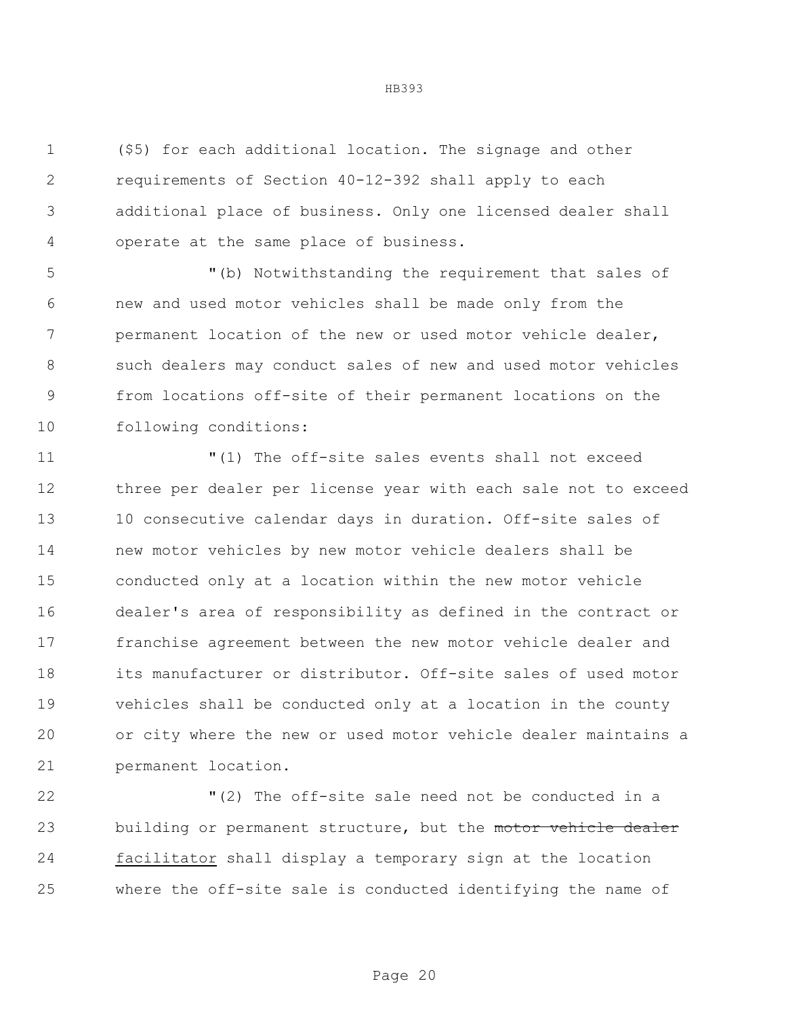(\$5) for each additional location. The signage and other requirements of Section 40-12-392 shall apply to each additional place of business. Only one licensed dealer shall operate at the same place of business.

 "(b) Notwithstanding the requirement that sales of new and used motor vehicles shall be made only from the permanent location of the new or used motor vehicle dealer, such dealers may conduct sales of new and used motor vehicles from locations off-site of their permanent locations on the following conditions:

 "(1) The off-site sales events shall not exceed three per dealer per license year with each sale not to exceed 10 consecutive calendar days in duration. Off-site sales of new motor vehicles by new motor vehicle dealers shall be conducted only at a location within the new motor vehicle dealer's area of responsibility as defined in the contract or franchise agreement between the new motor vehicle dealer and its manufacturer or distributor. Off-site sales of used motor vehicles shall be conducted only at a location in the county or city where the new or used motor vehicle dealer maintains a permanent location.

 "(2) The off-site sale need not be conducted in a 23 building or permanent structure, but the motor vehicle dealer facilitator shall display a temporary sign at the location where the off-site sale is conducted identifying the name of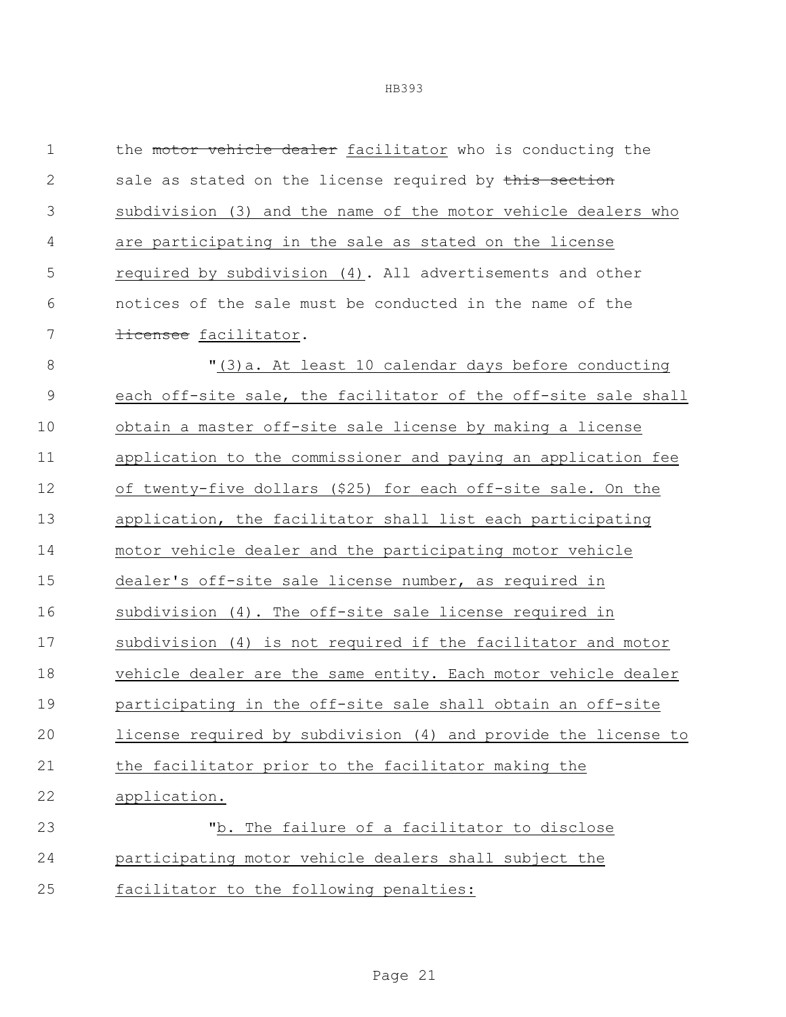1 the motor vehicle dealer facilitator who is conducting the 2 sale as stated on the license required by this section subdivision (3) and the name of the motor vehicle dealers who are participating in the sale as stated on the license required by subdivision (4). All advertisements and other notices of the sale must be conducted in the name of the 7 <del>licensee</del> facilitator. "(3)a. At least 10 calendar days before conducting each off-site sale, the facilitator of the off-site sale shall obtain a master off-site sale license by making a license application to the commissioner and paying an application fee of twenty-five dollars (\$25) for each off-site sale. On the application, the facilitator shall list each participating motor vehicle dealer and the participating motor vehicle dealer's off-site sale license number, as required in subdivision (4). The off-site sale license required in subdivision (4) is not required if the facilitator and motor vehicle dealer are the same entity. Each motor vehicle dealer participating in the off-site sale shall obtain an off-site license required by subdivision (4) and provide the license to the facilitator prior to the facilitator making the application. "b. The failure of a facilitator to disclose participating motor vehicle dealers shall subject the facilitator to the following penalties: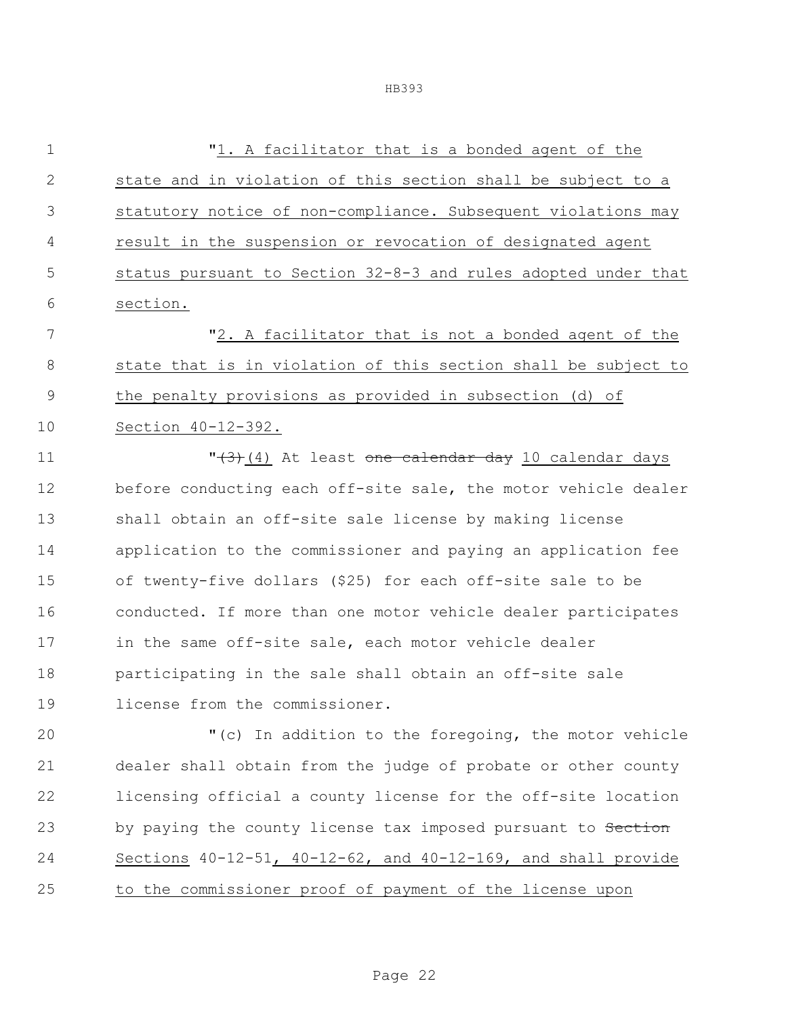| $\mathbf 1$  | "1. A facilitator that is a bonded agent of the                |
|--------------|----------------------------------------------------------------|
| $\mathbf{2}$ | state and in violation of this section shall be subject to a   |
| 3            | statutory notice of non-compliance. Subsequent violations may  |
| 4            | result in the suspension or revocation of designated agent     |
| 5            | status pursuant to Section 32-8-3 and rules adopted under that |
| 6            | section.                                                       |
| 7            | "2. A facilitator that is not a bonded agent of the            |
| 8            | state that is in violation of this section shall be subject to |
| 9            | the penalty provisions as provided in subsection (d) of        |
| 10           | Section 40-12-392.                                             |
| 11           | "(3)(4) At least one calendar day 10 calendar days             |
| 12           | before conducting each off-site sale, the motor vehicle dealer |
| 13           | shall obtain an off-site sale license by making license        |
| 14           | application to the commissioner and paying an application fee  |
| 15           | of twenty-five dollars (\$25) for each off-site sale to be     |
| 16           | conducted. If more than one motor vehicle dealer participates  |
| 17           | in the same off-site sale, each motor vehicle dealer           |
| 18           | participating in the sale shall obtain an off-site sale        |
| 19           | license from the commissioner.                                 |
| 20           | "(c) In addition to the foregoing, the motor vehicle           |
| 21           | dealer shall obtain from the judge of probate or other county  |
| 22           | licensing official a county license for the off-site location  |
| 23           | by paying the county license tax imposed pursuant to Section   |
| 24           | Sections 40-12-51, 40-12-62, and 40-12-169, and shall provide  |
| 25           | to the commissioner proof of payment of the license upon       |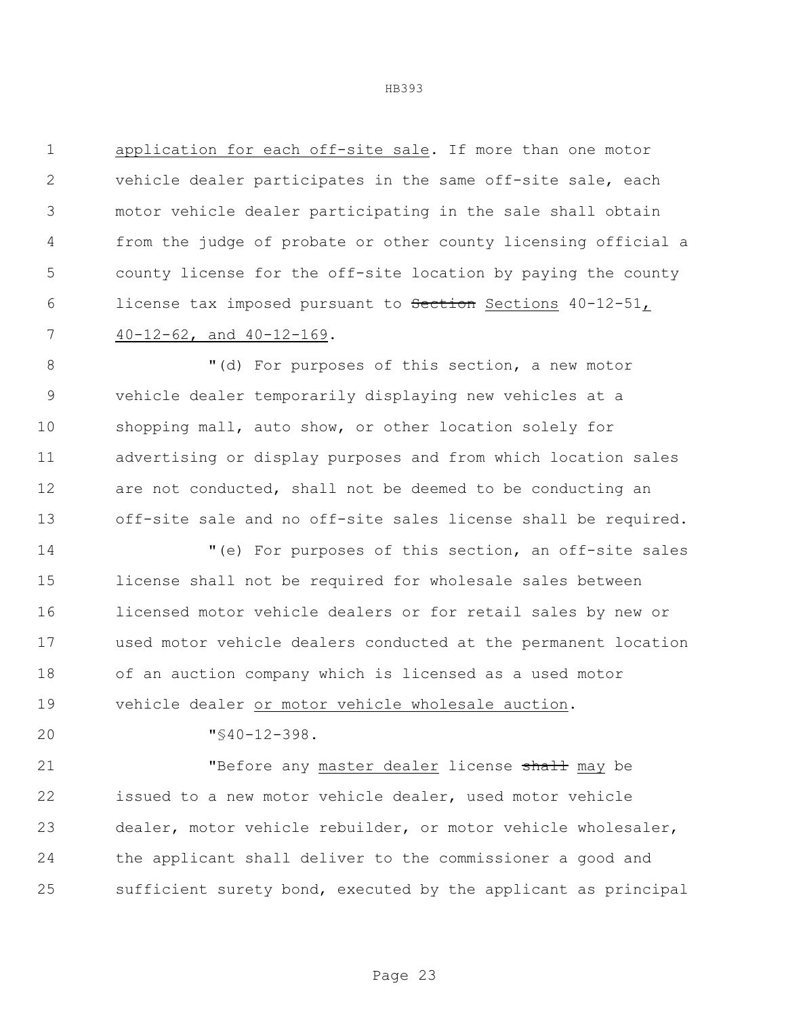application for each off-site sale. If more than one motor vehicle dealer participates in the same off-site sale, each motor vehicle dealer participating in the sale shall obtain from the judge of probate or other county licensing official a county license for the off-site location by paying the county 6 license tax imposed pursuant to Section Sections 40-12-51, 40-12-62, and 40-12-169.

8 "(d) For purposes of this section, a new motor vehicle dealer temporarily displaying new vehicles at a shopping mall, auto show, or other location solely for advertising or display purposes and from which location sales 12 are not conducted, shall not be deemed to be conducting an off-site sale and no off-site sales license shall be required.

 "(e) For purposes of this section, an off-site sales license shall not be required for wholesale sales between licensed motor vehicle dealers or for retail sales by new or used motor vehicle dealers conducted at the permanent location of an auction company which is licensed as a used motor vehicle dealer or motor vehicle wholesale auction.

"§40-12-398.

21 The Searly master dealer license shall may be issued to a new motor vehicle dealer, used motor vehicle dealer, motor vehicle rebuilder, or motor vehicle wholesaler, the applicant shall deliver to the commissioner a good and sufficient surety bond, executed by the applicant as principal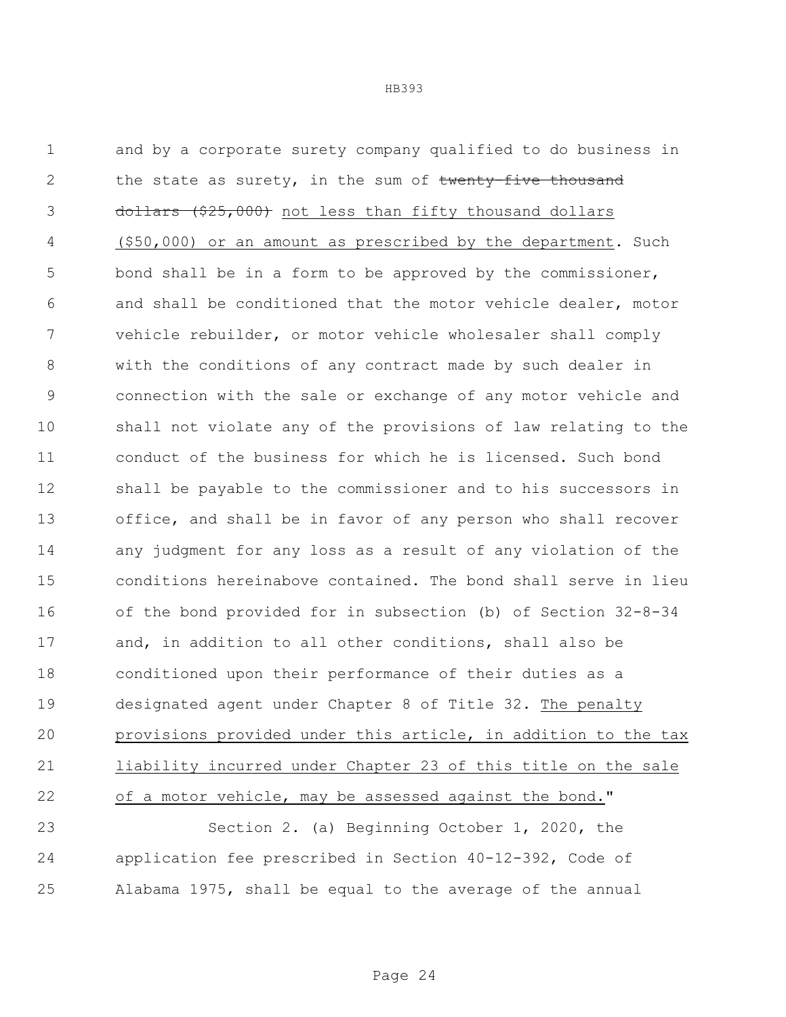and by a corporate surety company qualified to do business in 2 the state as surety, in the sum of twenty-five thousand 3 dollars (\$25,000) not less than fifty thousand dollars (\$50,000) or an amount as prescribed by the department. Such 5 bond shall be in a form to be approved by the commissioner, and shall be conditioned that the motor vehicle dealer, motor vehicle rebuilder, or motor vehicle wholesaler shall comply with the conditions of any contract made by such dealer in connection with the sale or exchange of any motor vehicle and shall not violate any of the provisions of law relating to the conduct of the business for which he is licensed. Such bond shall be payable to the commissioner and to his successors in office, and shall be in favor of any person who shall recover any judgment for any loss as a result of any violation of the conditions hereinabove contained. The bond shall serve in lieu of the bond provided for in subsection (b) of Section 32-8-34 and, in addition to all other conditions, shall also be conditioned upon their performance of their duties as a designated agent under Chapter 8 of Title 32. The penalty provisions provided under this article, in addition to the tax liability incurred under Chapter 23 of this title on the sale of a motor vehicle, may be assessed against the bond." Section 2. (a) Beginning October 1, 2020, the application fee prescribed in Section 40-12-392, Code of

Alabama 1975, shall be equal to the average of the annual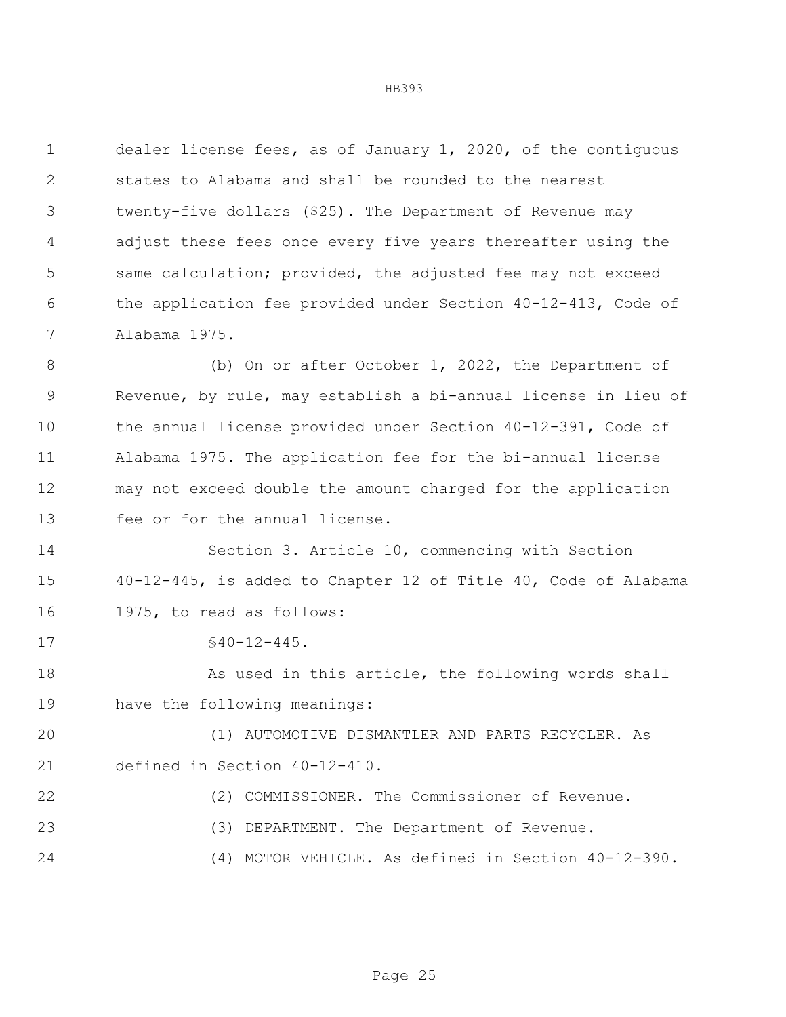dealer license fees, as of January 1, 2020, of the contiguous states to Alabama and shall be rounded to the nearest twenty-five dollars (\$25). The Department of Revenue may adjust these fees once every five years thereafter using the same calculation; provided, the adjusted fee may not exceed the application fee provided under Section 40-12-413, Code of Alabama 1975.

 (b) On or after October 1, 2022, the Department of Revenue, by rule, may establish a bi-annual license in lieu of the annual license provided under Section 40-12-391, Code of Alabama 1975. The application fee for the bi-annual license may not exceed double the amount charged for the application fee or for the annual license.

 Section 3. Article 10, commencing with Section 40-12-445, is added to Chapter 12 of Title 40, Code of Alabama 1975, to read as follows:

17 §40-12-445.

18 As used in this article, the following words shall have the following meanings:

 (1) AUTOMOTIVE DISMANTLER AND PARTS RECYCLER. As defined in Section 40-12-410.

 (2) COMMISSIONER. The Commissioner of Revenue. (3) DEPARTMENT. The Department of Revenue. (4) MOTOR VEHICLE. As defined in Section 40-12-390.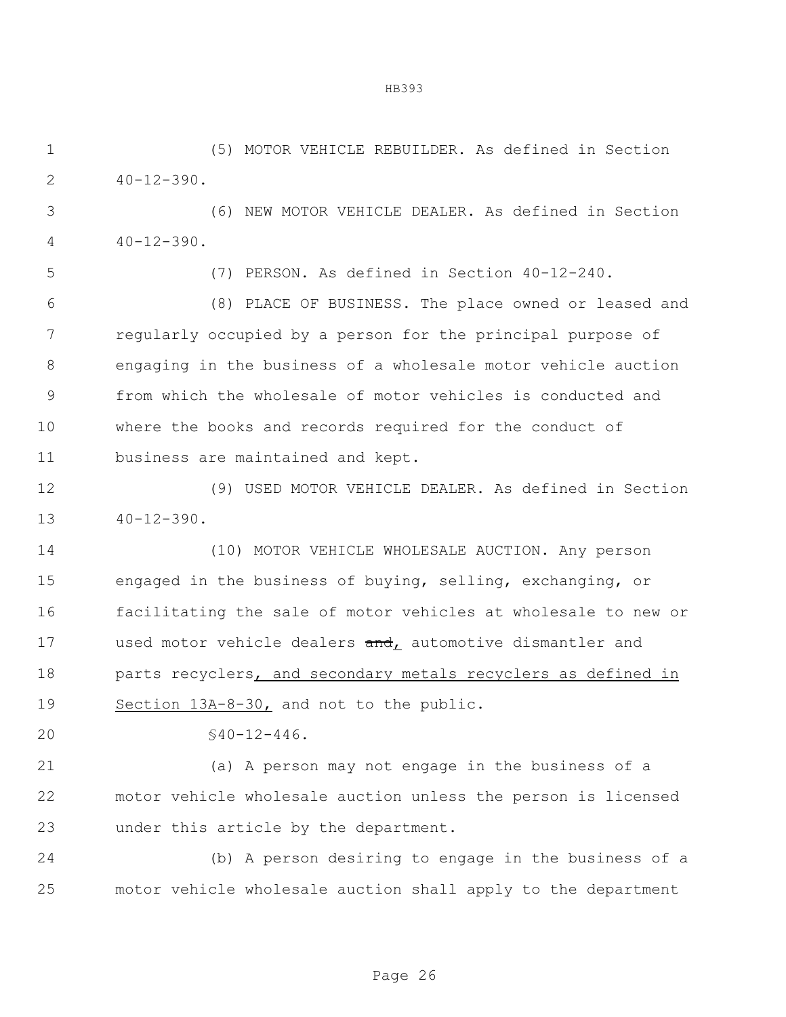(5) MOTOR VEHICLE REBUILDER. As defined in Section  $2 \t 40-12-390$ .

 (6) NEW MOTOR VEHICLE DEALER. As defined in Section  $40-12-390$ .

(7) PERSON. As defined in Section 40-12-240.

 (8) PLACE OF BUSINESS. The place owned or leased and regularly occupied by a person for the principal purpose of engaging in the business of a wholesale motor vehicle auction from which the wholesale of motor vehicles is conducted and where the books and records required for the conduct of business are maintained and kept.

 (9) USED MOTOR VEHICLE DEALER. As defined in Section  $13 \t 40-12-390$ .

 (10) MOTOR VEHICLE WHOLESALE AUCTION. Any person engaged in the business of buying, selling, exchanging, or facilitating the sale of motor vehicles at wholesale to new or 17 used motor vehicle dealers and, automotive dismantler and 18 parts recyclers, and secondary metals recyclers as defined in Section 13A-8-30, and not to the public.

§40-12-446.

 (a) A person may not engage in the business of a motor vehicle wholesale auction unless the person is licensed under this article by the department.

 (b) A person desiring to engage in the business of a motor vehicle wholesale auction shall apply to the department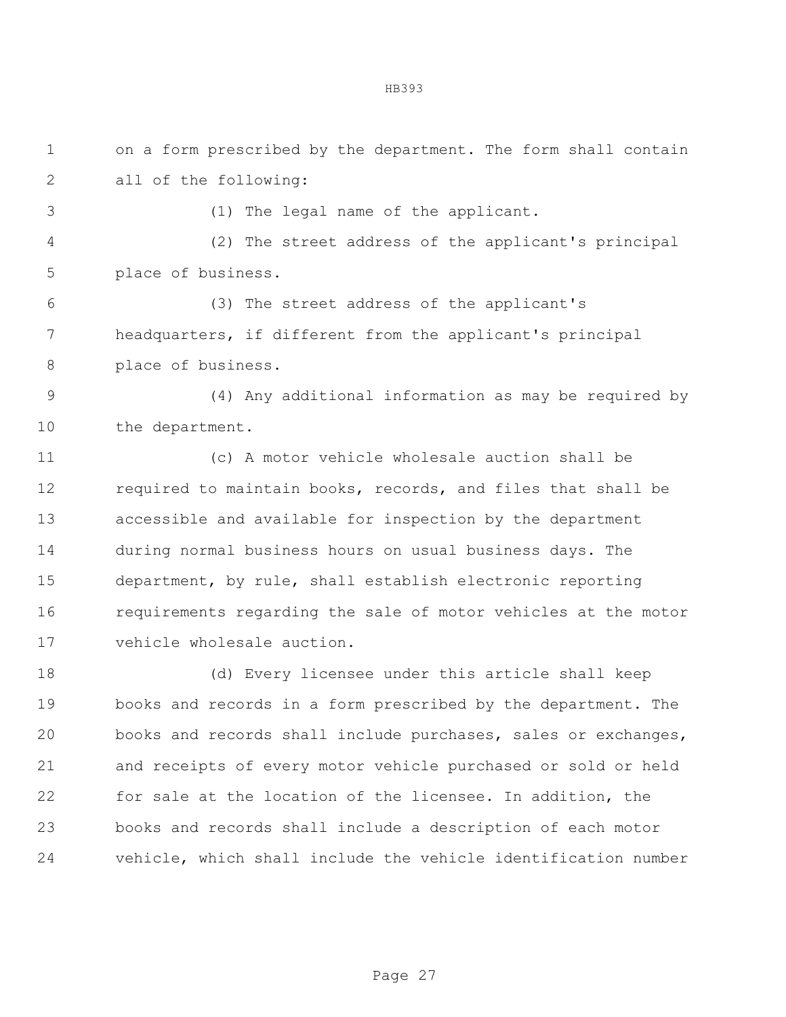| $\mathbf 1$ | on a form prescribed by the department. The form shall contain |
|-------------|----------------------------------------------------------------|
| 2           | all of the following:                                          |
| 3           | (1) The legal name of the applicant.                           |
| 4           | (2) The street address of the applicant's principal            |
| 5           | place of business.                                             |
| 6           | (3) The street address of the applicant's                      |
| 7           | headquarters, if different from the applicant's principal      |
| 8           | place of business.                                             |
| 9           | (4) Any additional information as may be required by           |
| 10          | the department.                                                |
| 11          | (c) A motor vehicle wholesale auction shall be                 |
| 12          | required to maintain books, records, and files that shall be   |
| 13          | accessible and available for inspection by the department      |
| 14          | during normal business hours on usual business days. The       |
| 15          | department, by rule, shall establish electronic reporting      |
| 16          | requirements regarding the sale of motor vehicles at the motor |
| 17          | vehicle wholesale auction.                                     |
| 18          | (d) Every licensee under this article shall keep               |
| 19          | books and records in a form prescribed by the department. The  |
| 20          | books and records shall include purchases, sales or exchanges, |
| 21          | and receipts of every motor vehicle purchased or sold or held  |
| 22          | for sale at the location of the licensee. In addition, the     |
| 23          | books and records shall include a description of each motor    |
| 24          | vehicle, which shall include the vehicle identification number |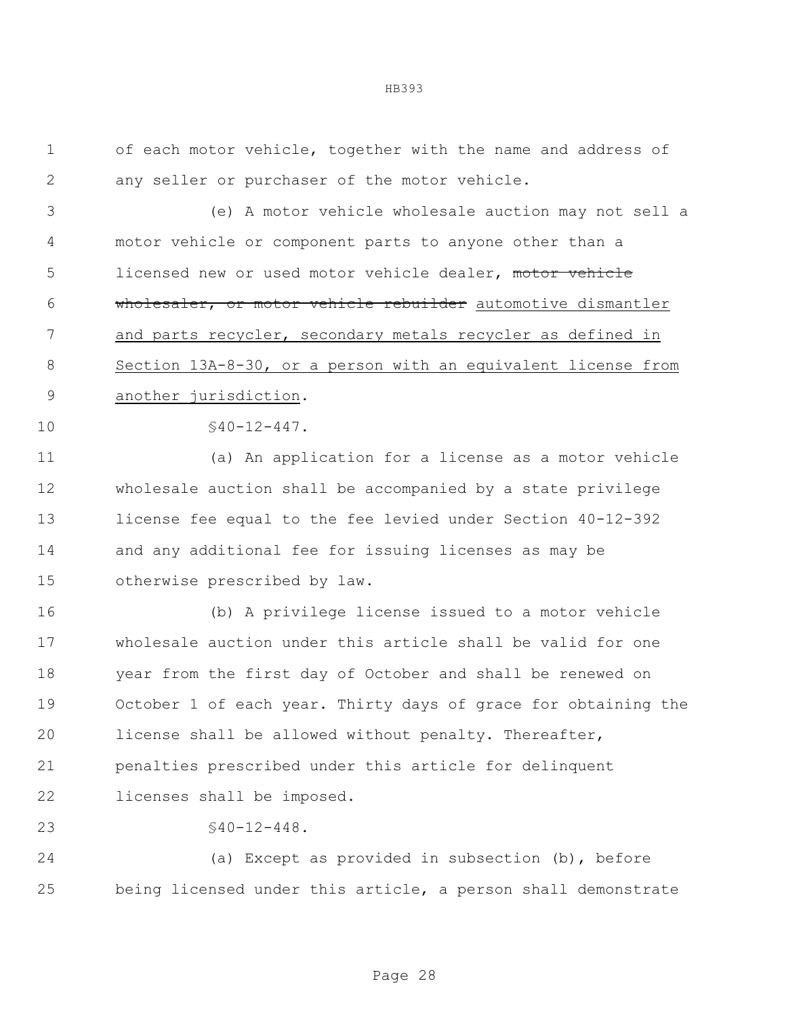of each motor vehicle, together with the name and address of any seller or purchaser of the motor vehicle.

 (e) A motor vehicle wholesale auction may not sell a motor vehicle or component parts to anyone other than a 5 licensed new or used motor vehicle dealer, motor vehicle wholesaler, or motor vehicle rebuilder automotive dismantler and parts recycler, secondary metals recycler as defined in Section 13A-8-30, or a person with an equivalent license from another jurisdiction.

 $$40-12-447.$ 

 (a) An application for a license as a motor vehicle wholesale auction shall be accompanied by a state privilege license fee equal to the fee levied under Section 40-12-392 and any additional fee for issuing licenses as may be otherwise prescribed by law.

 (b) A privilege license issued to a motor vehicle wholesale auction under this article shall be valid for one year from the first day of October and shall be renewed on October 1 of each year. Thirty days of grace for obtaining the license shall be allowed without penalty. Thereafter, penalties prescribed under this article for delinquent licenses shall be imposed.

 $$40-12-448$ .

 (a) Except as provided in subsection (b), before being licensed under this article, a person shall demonstrate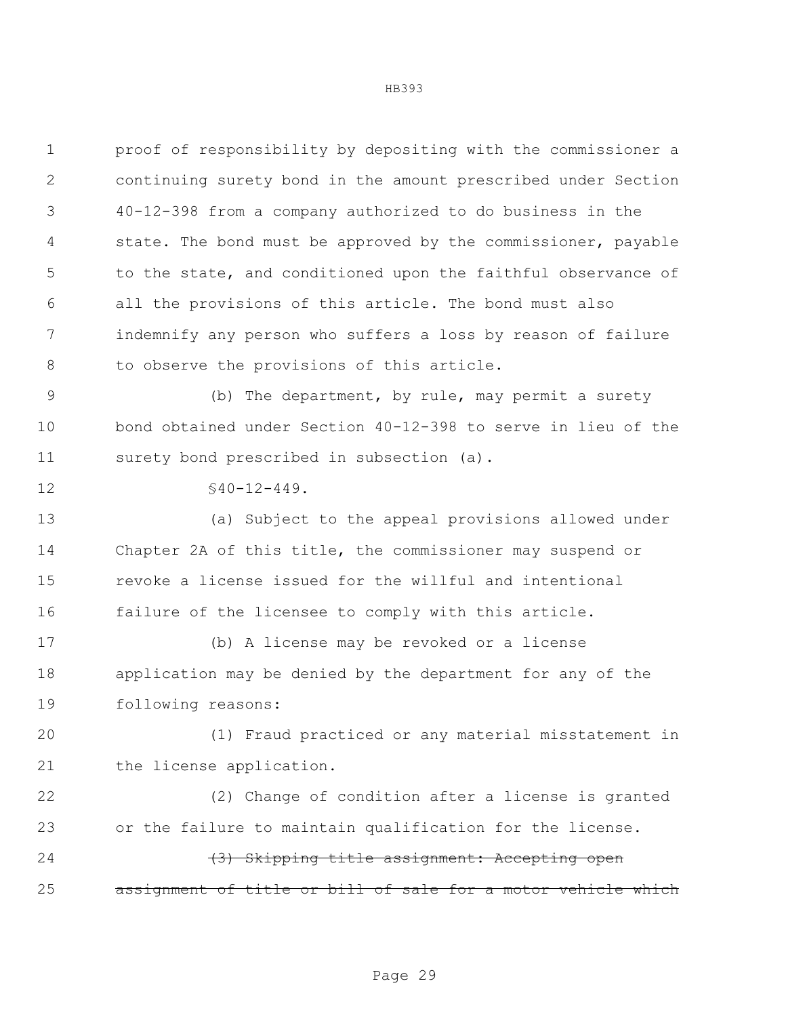| $\mathbf 1$   | proof of responsibility by depositing with the commissioner a |
|---------------|---------------------------------------------------------------|
| 2             | continuing surety bond in the amount prescribed under Section |
| 3             | 40-12-398 from a company authorized to do business in the     |
| 4             | state. The bond must be approved by the commissioner, payable |
| 5             | to the state, and conditioned upon the faithful observance of |
| 6             | all the provisions of this article. The bond must also        |
| 7             | indemnify any person who suffers a loss by reason of failure  |
| 8             | to observe the provisions of this article.                    |
| $\mathcal{G}$ | (b) The department, by rule, may permit a surety              |
| 10            | bond obtained under Section 40-12-398 to serve in lieu of the |
| 11            | surety bond prescribed in subsection (a).                     |
| 12            | $$40-12-449.$                                                 |
| 13            | (a) Subject to the appeal provisions allowed under            |
| 14            | Chapter 2A of this title, the commissioner may suspend or     |
| 15            | revoke a license issued for the willful and intentional       |
| 16            | failure of the licensee to comply with this article.          |
| 17            | (b) A license may be revoked or a license                     |
| 18            | application may be denied by the department for any of the    |
| 19            | following reasons:                                            |
| 20            | (1) Fraud practiced or any material misstatement in           |
| 21            | the license application.                                      |
| 22            | (2) Change of condition after a license is granted            |
| 23            | or the failure to maintain qualification for the license.     |
| 24            | (3) Skipping title assignment: Accepting open                 |
| 25            | assignment of title or bill of sale for a motor vehicle which |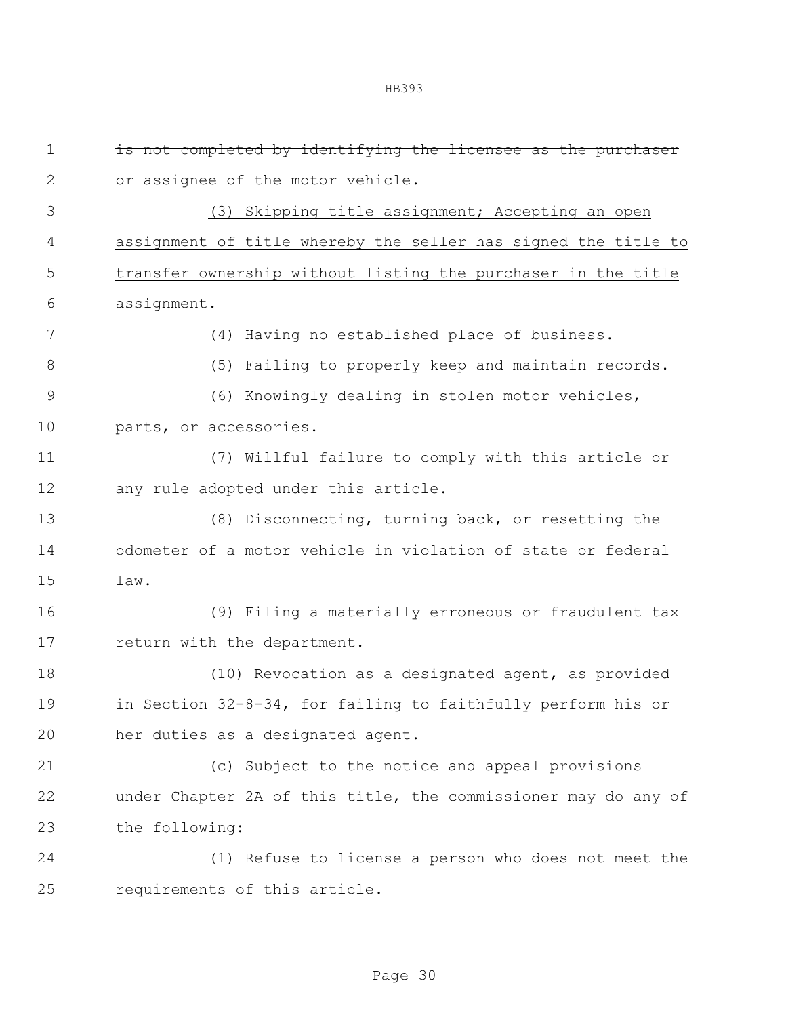| $\mathbf 1$  | is not completed by identifying the licensee as the purchaser  |
|--------------|----------------------------------------------------------------|
| $\mathbf{2}$ | or assignee of the motor vehicle.                              |
| 3            | (3) Skipping title assignment; Accepting an open               |
| 4            | assignment of title whereby the seller has signed the title to |
| 5            | transfer ownership without listing the purchaser in the title  |
| 6            | assignment.                                                    |
| 7            | (4) Having no established place of business.                   |
| $8\,$        | (5) Failing to properly keep and maintain records.             |
| $\mathsf 9$  | (6) Knowingly dealing in stolen motor vehicles,                |
| 10           | parts, or accessories.                                         |
| 11           | (7) Willful failure to comply with this article or             |
| 12           | any rule adopted under this article.                           |
| 13           | (8) Disconnecting, turning back, or resetting the              |
| 14           | odometer of a motor vehicle in violation of state or federal   |
| 15           | law.                                                           |
| 16           | (9) Filing a materially erroneous or fraudulent tax            |
| 17           | return with the department.                                    |
| 18           | (10) Revocation as a designated agent, as provided             |
| 19           | in Section 32-8-34, for failing to faithfully perform his or   |
| 20           | her duties as a designated agent.                              |
| 21           | (c) Subject to the notice and appeal provisions                |
| 22           | under Chapter 2A of this title, the commissioner may do any of |
| 23           | the following:                                                 |
| 24           | (1) Refuse to license a person who does not meet the           |
| 25           | requirements of this article.                                  |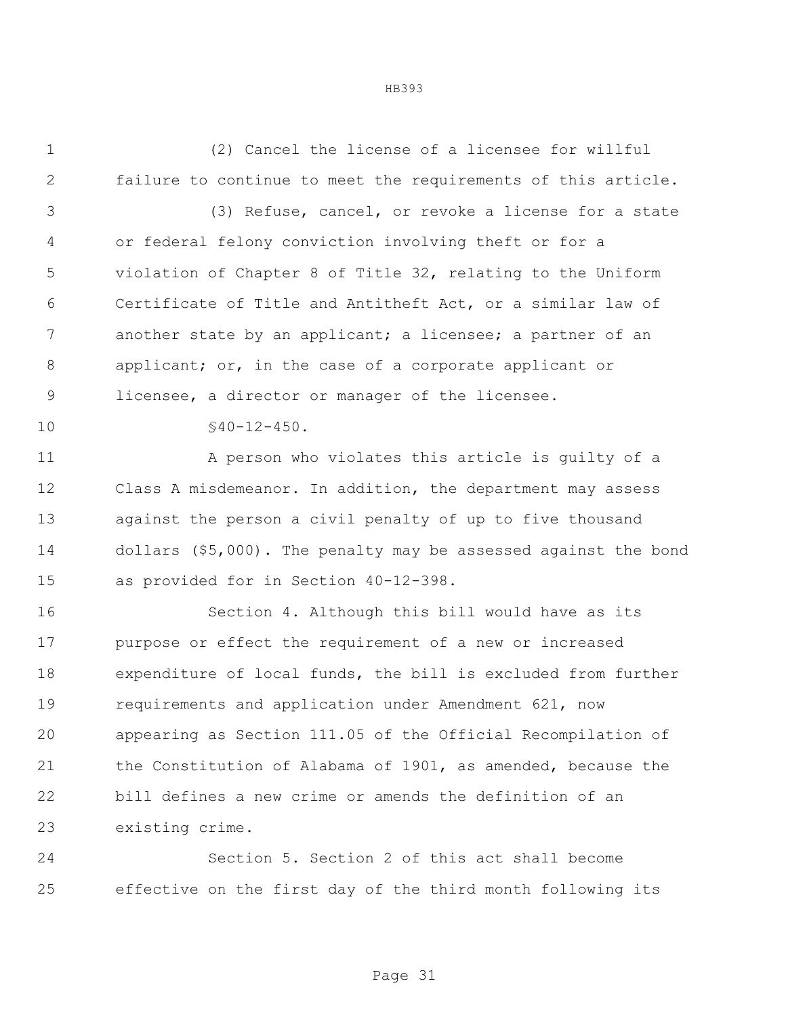(2) Cancel the license of a licensee for willful failure to continue to meet the requirements of this article.

 (3) Refuse, cancel, or revoke a license for a state or federal felony conviction involving theft or for a violation of Chapter 8 of Title 32, relating to the Uniform Certificate of Title and Antitheft Act, or a similar law of 7 another state by an applicant; a licensee; a partner of an applicant; or, in the case of a corporate applicant or licensee, a director or manager of the licensee.

10 \$40-12-450.

 A person who violates this article is guilty of a Class A misdemeanor. In addition, the department may assess against the person a civil penalty of up to five thousand dollars (\$5,000). The penalty may be assessed against the bond as provided for in Section 40-12-398.

 Section 4. Although this bill would have as its purpose or effect the requirement of a new or increased expenditure of local funds, the bill is excluded from further requirements and application under Amendment 621, now appearing as Section 111.05 of the Official Recompilation of the Constitution of Alabama of 1901, as amended, because the bill defines a new crime or amends the definition of an existing crime.

 Section 5. Section 2 of this act shall become effective on the first day of the third month following its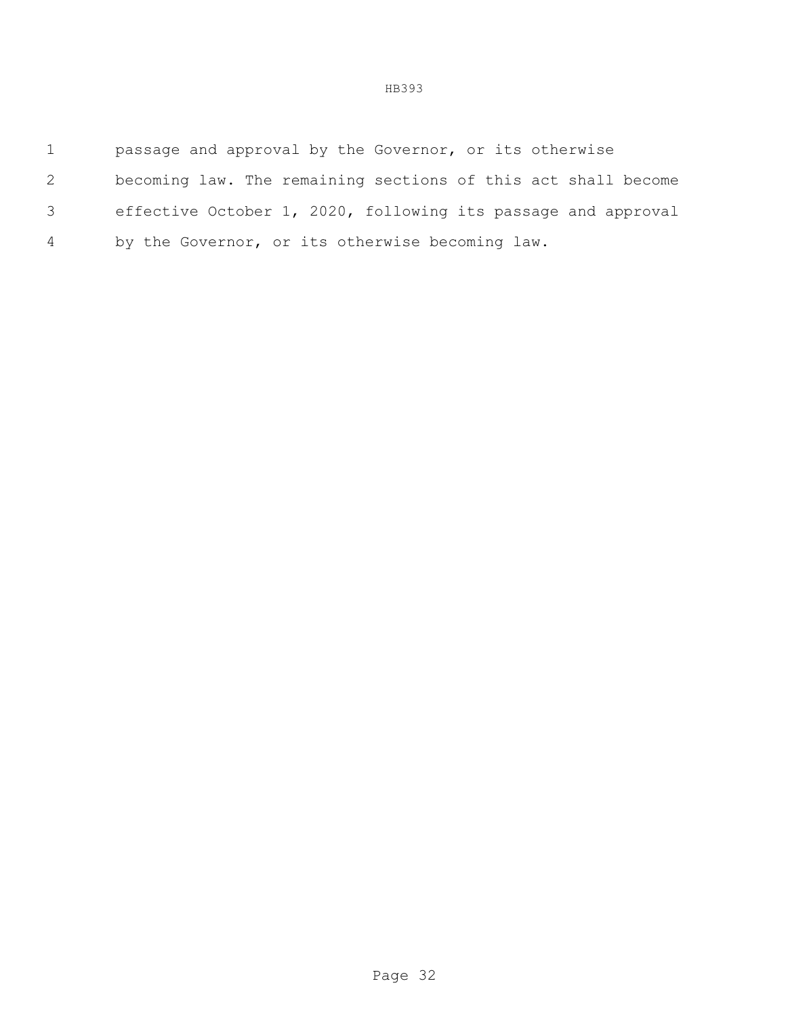| $\mathbf{1}$   | passage and approval by the Governor, or its otherwise        |
|----------------|---------------------------------------------------------------|
| 2              | becoming law. The remaining sections of this act shall become |
| 3              | effective October 1, 2020, following its passage and approval |
| $\overline{4}$ | by the Governor, or its otherwise becoming law.               |